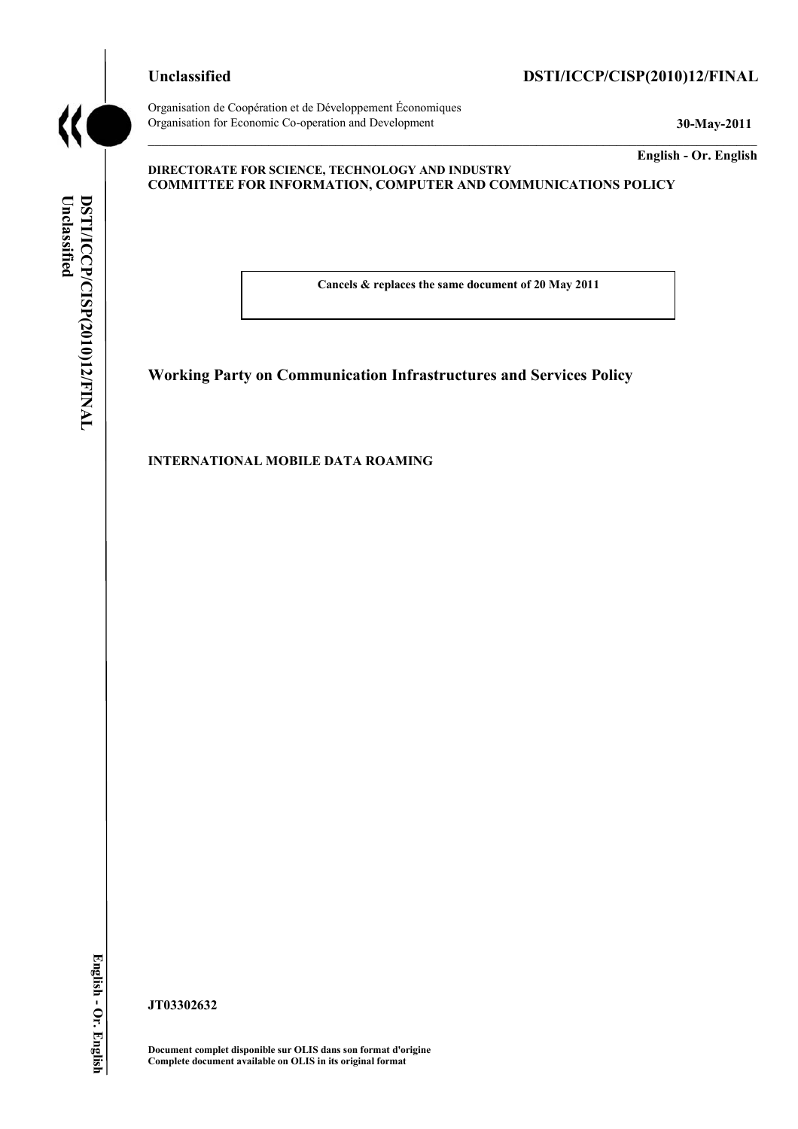**Unclassified DSTI/ICCP/CISP(2010)12/FINAL**



**Unclassified** 

DSTI/ICCP/CISP(2010)12/FINAL

Unclassified

Organisation de Coopération et de Développement Économiques Organisation for Economic Co-operation and Development **30-May-2011** 

**English - Or. English** 

#### **DIRECTORATE FOR SCIENCE, TECHNOLOGY AND INDUSTRY COMMITTEE FOR INFORMATION, COMPUTER AND COMMUNICATIONS POLICY**

**Cancels & replaces the same document of 20 May 2011** 

**Working Party on Communication Infrastructures and Services Policy** 

**INTERNATIONAL MOBILE DATA ROAMING** 

**JT03302632** 

**Document complet disponible sur OLIS dans son format d'origine Complete document available on OLIS in its original format**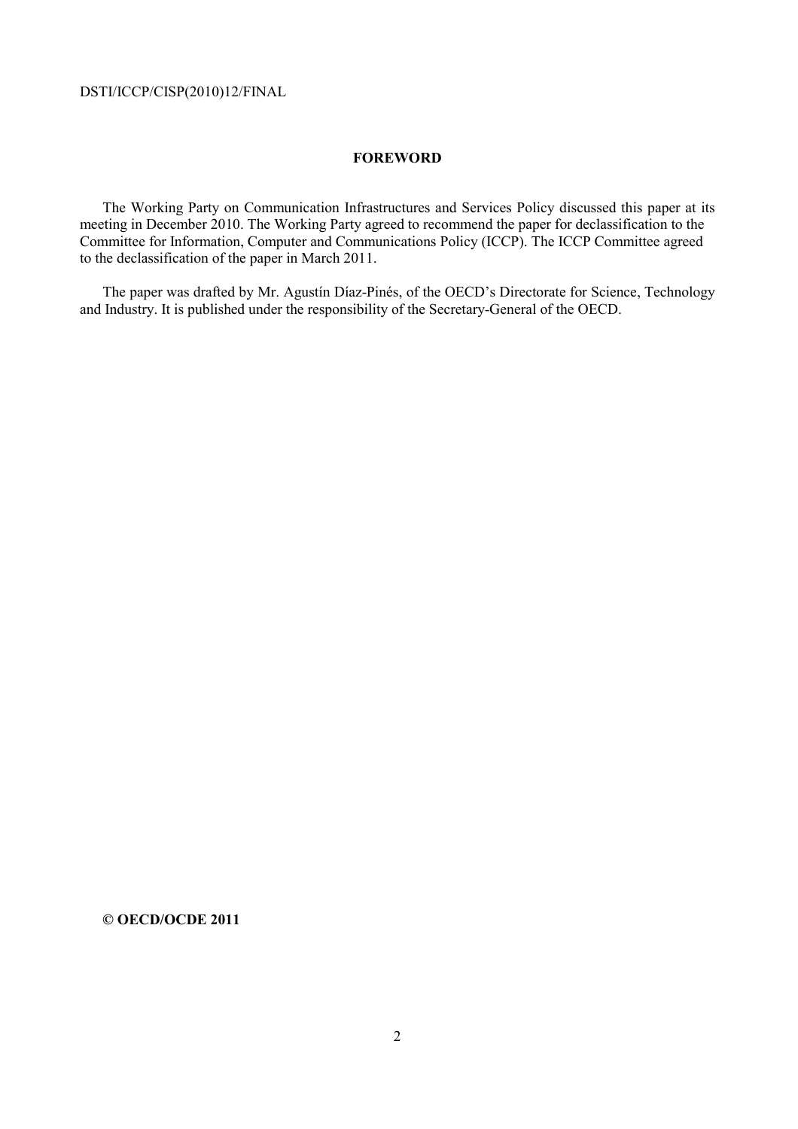### **FOREWORD**

The Working Party on Communication Infrastructures and Services Policy discussed this paper at its meeting in December 2010. The Working Party agreed to recommend the paper for declassification to the Committee for Information, Computer and Communications Policy (ICCP). The ICCP Committee agreed to the declassification of the paper in March 2011.

The paper was drafted by Mr. Agustín Díaz-Pinés, of the OECD's Directorate for Science, Technology and Industry. It is published under the responsibility of the Secretary-General of the OECD.

### **© OECD/OCDE 2011**

2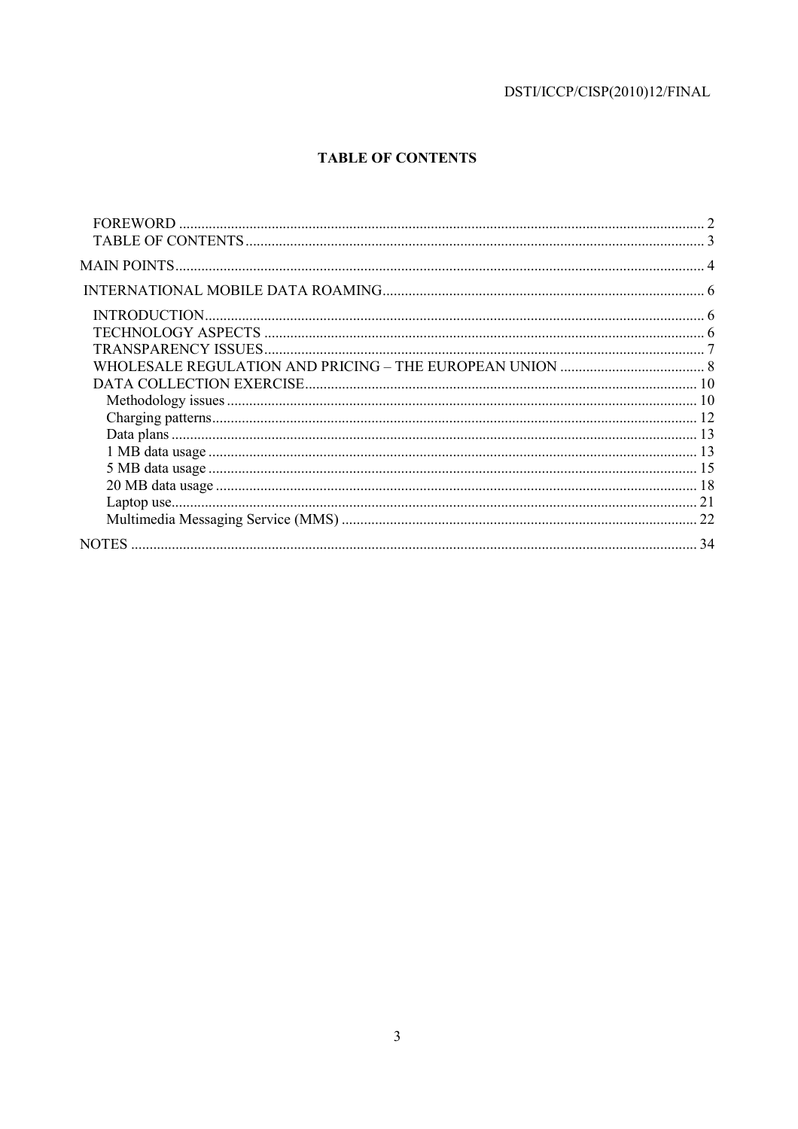# **TABLE OF CONTENTS**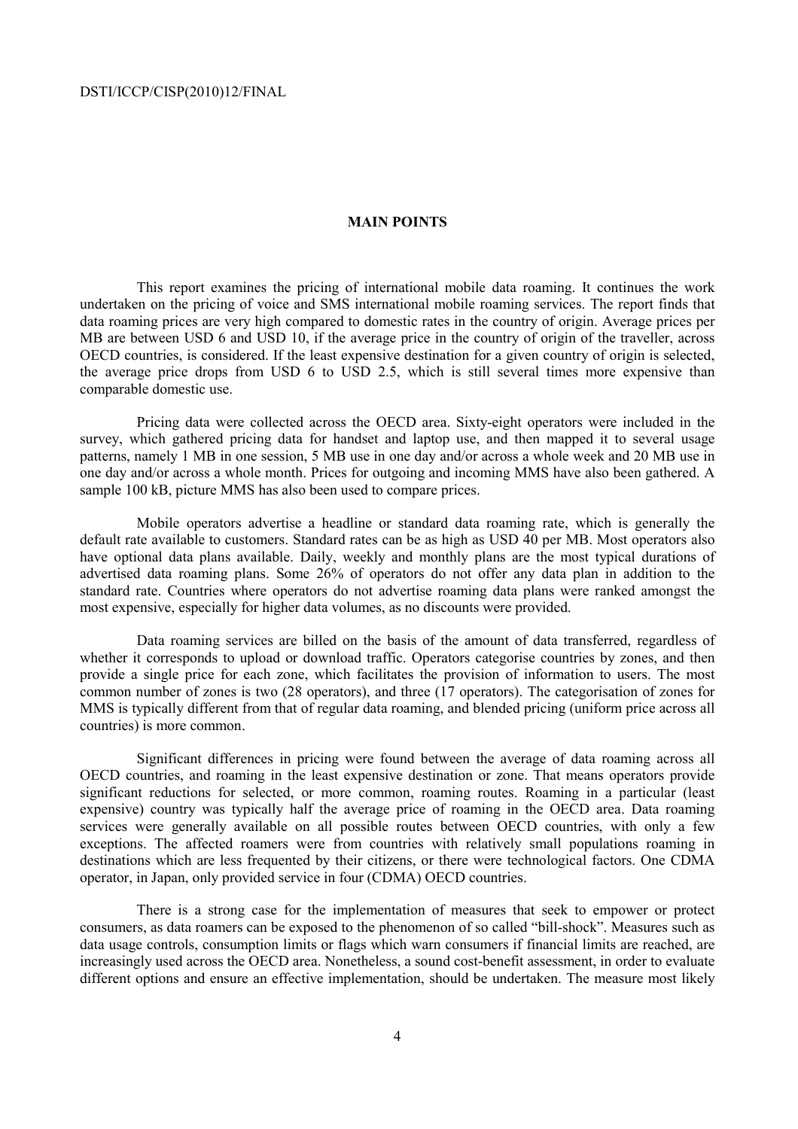### **MAIN POINTS**

 This report examines the pricing of international mobile data roaming. It continues the work undertaken on the pricing of voice and SMS international mobile roaming services. The report finds that data roaming prices are very high compared to domestic rates in the country of origin. Average prices per MB are between USD 6 and USD 10, if the average price in the country of origin of the traveller, across OECD countries, is considered. If the least expensive destination for a given country of origin is selected, the average price drops from USD 6 to USD 2.5, which is still several times more expensive than comparable domestic use.

 Pricing data were collected across the OECD area. Sixty-eight operators were included in the survey, which gathered pricing data for handset and laptop use, and then mapped it to several usage patterns, namely 1 MB in one session, 5 MB use in one day and/or across a whole week and 20 MB use in one day and/or across a whole month. Prices for outgoing and incoming MMS have also been gathered. A sample 100 kB, picture MMS has also been used to compare prices.

 Mobile operators advertise a headline or standard data roaming rate, which is generally the default rate available to customers. Standard rates can be as high as USD 40 per MB. Most operators also have optional data plans available. Daily, weekly and monthly plans are the most typical durations of advertised data roaming plans. Some 26% of operators do not offer any data plan in addition to the standard rate. Countries where operators do not advertise roaming data plans were ranked amongst the most expensive, especially for higher data volumes, as no discounts were provided.

 Data roaming services are billed on the basis of the amount of data transferred, regardless of whether it corresponds to upload or download traffic. Operators categorise countries by zones, and then provide a single price for each zone, which facilitates the provision of information to users. The most common number of zones is two (28 operators), and three (17 operators). The categorisation of zones for MMS is typically different from that of regular data roaming, and blended pricing (uniform price across all countries) is more common.

 Significant differences in pricing were found between the average of data roaming across all OECD countries, and roaming in the least expensive destination or zone. That means operators provide significant reductions for selected, or more common, roaming routes. Roaming in a particular (least expensive) country was typically half the average price of roaming in the OECD area. Data roaming services were generally available on all possible routes between OECD countries, with only a few exceptions. The affected roamers were from countries with relatively small populations roaming in destinations which are less frequented by their citizens, or there were technological factors. One CDMA operator, in Japan, only provided service in four (CDMA) OECD countries.

 There is a strong case for the implementation of measures that seek to empower or protect consumers, as data roamers can be exposed to the phenomenon of so called "bill-shock". Measures such as data usage controls, consumption limits or flags which warn consumers if financial limits are reached, are increasingly used across the OECD area. Nonetheless, a sound cost-benefit assessment, in order to evaluate different options and ensure an effective implementation, should be undertaken. The measure most likely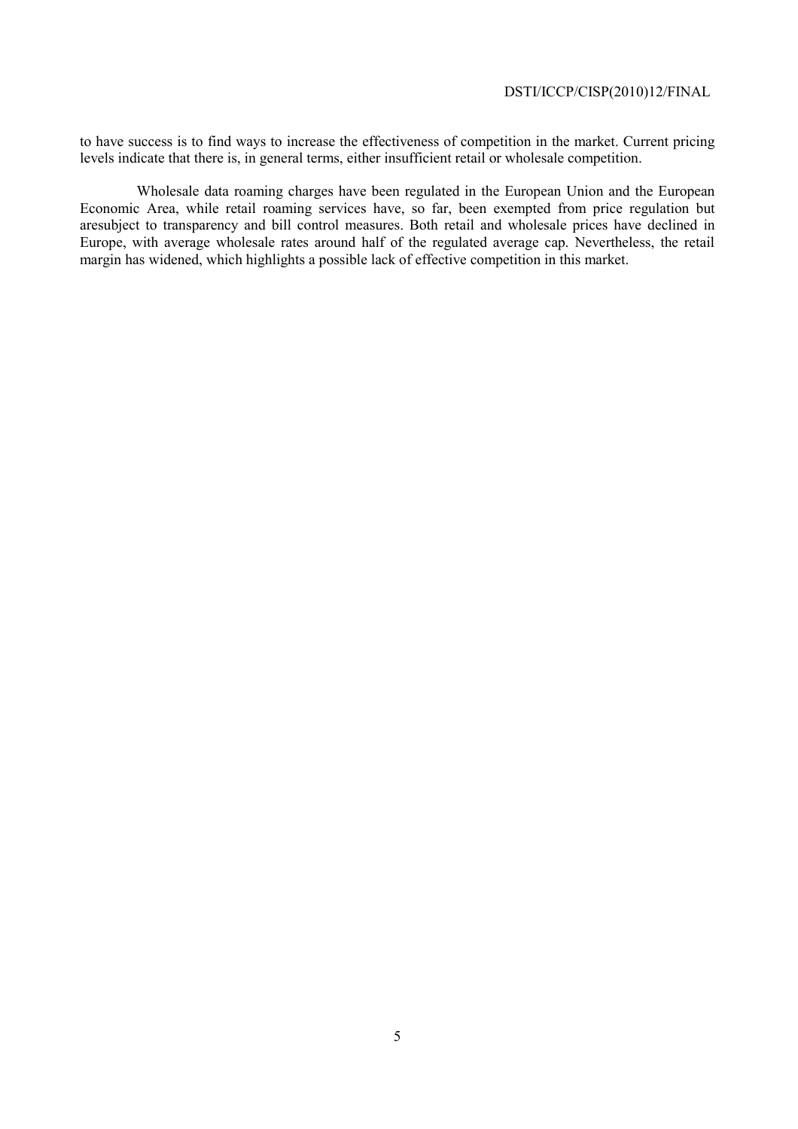to have success is to find ways to increase the effectiveness of competition in the market. Current pricing levels indicate that there is, in general terms, either insufficient retail or wholesale competition.

 Wholesale data roaming charges have been regulated in the European Union and the European Economic Area, while retail roaming services have, so far, been exempted from price regulation but aresubject to transparency and bill control measures. Both retail and wholesale prices have declined in Europe, with average wholesale rates around half of the regulated average cap. Nevertheless, the retail margin has widened, which highlights a possible lack of effective competition in this market.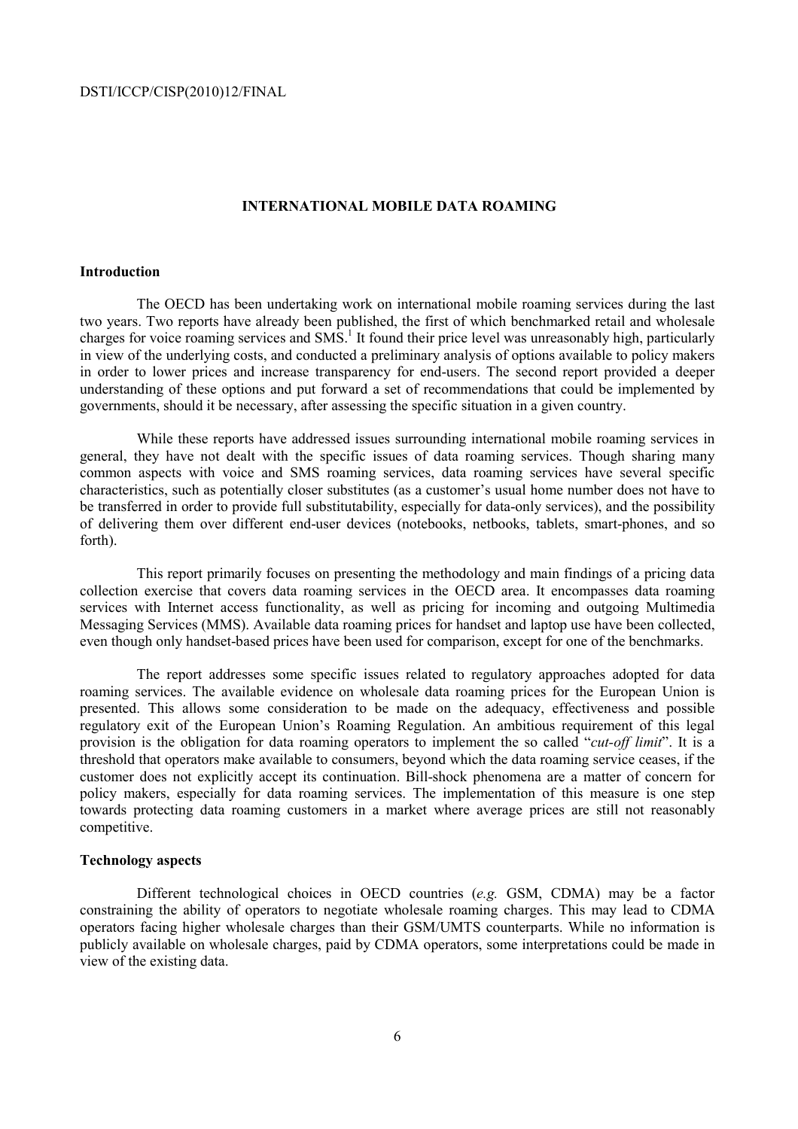#### **INTERNATIONAL MOBILE DATA ROAMING**

#### **Introduction**

 The OECD has been undertaking work on international mobile roaming services during the last two years. Two reports have already been published, the first of which benchmarked retail and wholesale charges for voice roaming services and SMS.<sup>1</sup> It found their price level was unreasonably high, particularly in view of the underlying costs, and conducted a preliminary analysis of options available to policy makers in order to lower prices and increase transparency for end-users. The second report provided a deeper understanding of these options and put forward a set of recommendations that could be implemented by governments, should it be necessary, after assessing the specific situation in a given country.

 While these reports have addressed issues surrounding international mobile roaming services in general, they have not dealt with the specific issues of data roaming services. Though sharing many common aspects with voice and SMS roaming services, data roaming services have several specific characteristics, such as potentially closer substitutes (as a customer's usual home number does not have to be transferred in order to provide full substitutability, especially for data-only services), and the possibility of delivering them over different end-user devices (notebooks, netbooks, tablets, smart-phones, and so forth).

 This report primarily focuses on presenting the methodology and main findings of a pricing data collection exercise that covers data roaming services in the OECD area. It encompasses data roaming services with Internet access functionality, as well as pricing for incoming and outgoing Multimedia Messaging Services (MMS). Available data roaming prices for handset and laptop use have been collected, even though only handset-based prices have been used for comparison, except for one of the benchmarks.

 The report addresses some specific issues related to regulatory approaches adopted for data roaming services. The available evidence on wholesale data roaming prices for the European Union is presented. This allows some consideration to be made on the adequacy, effectiveness and possible regulatory exit of the European Union's Roaming Regulation. An ambitious requirement of this legal provision is the obligation for data roaming operators to implement the so called "*cut-off limit*". It is a threshold that operators make available to consumers, beyond which the data roaming service ceases, if the customer does not explicitly accept its continuation. Bill-shock phenomena are a matter of concern for policy makers, especially for data roaming services. The implementation of this measure is one step towards protecting data roaming customers in a market where average prices are still not reasonably competitive.

#### **Technology aspects**

 Different technological choices in OECD countries (*e.g.* GSM, CDMA) may be a factor constraining the ability of operators to negotiate wholesale roaming charges. This may lead to CDMA operators facing higher wholesale charges than their GSM/UMTS counterparts. While no information is publicly available on wholesale charges, paid by CDMA operators, some interpretations could be made in view of the existing data.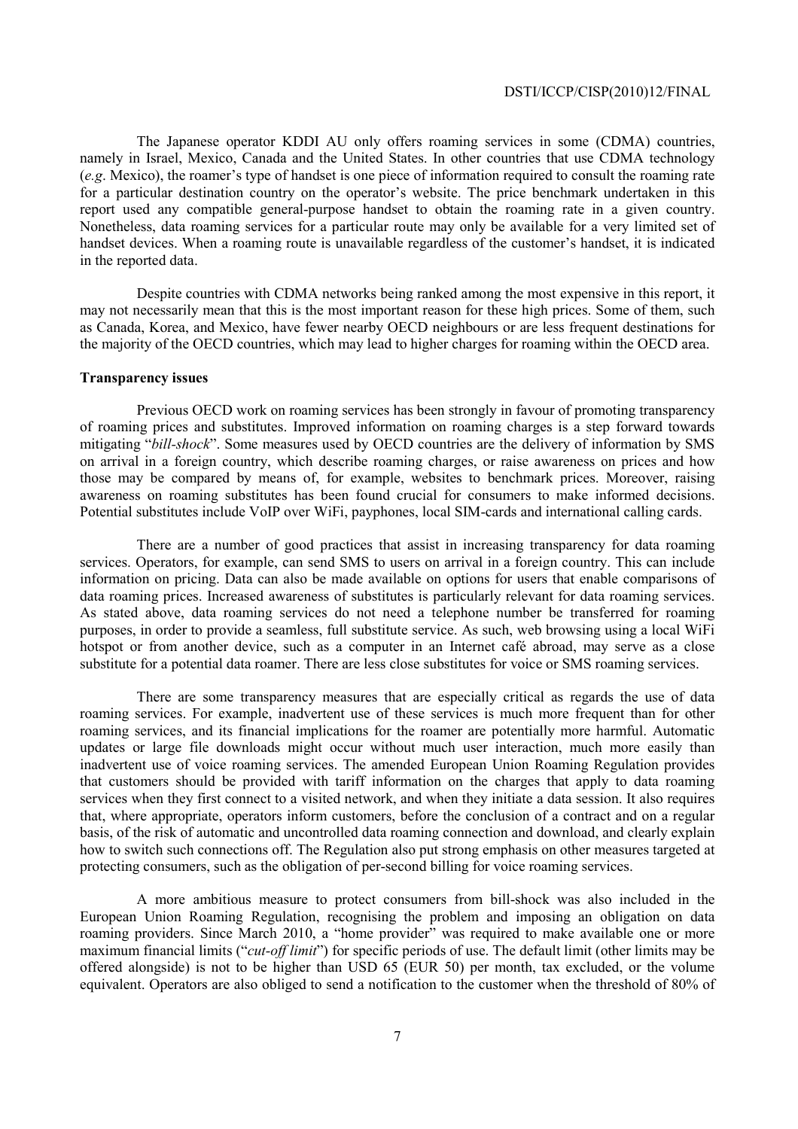The Japanese operator KDDI AU only offers roaming services in some (CDMA) countries, namely in Israel, Mexico, Canada and the United States. In other countries that use CDMA technology (*e.g*. Mexico), the roamer's type of handset is one piece of information required to consult the roaming rate for a particular destination country on the operator's website. The price benchmark undertaken in this report used any compatible general-purpose handset to obtain the roaming rate in a given country. Nonetheless, data roaming services for a particular route may only be available for a very limited set of handset devices. When a roaming route is unavailable regardless of the customer's handset, it is indicated in the reported data.

 Despite countries with CDMA networks being ranked among the most expensive in this report, it may not necessarily mean that this is the most important reason for these high prices. Some of them, such as Canada, Korea, and Mexico, have fewer nearby OECD neighbours or are less frequent destinations for the majority of the OECD countries, which may lead to higher charges for roaming within the OECD area.

### **Transparency issues**

 Previous OECD work on roaming services has been strongly in favour of promoting transparency of roaming prices and substitutes. Improved information on roaming charges is a step forward towards mitigating "*bill-shock*". Some measures used by OECD countries are the delivery of information by SMS on arrival in a foreign country, which describe roaming charges, or raise awareness on prices and how those may be compared by means of, for example, websites to benchmark prices. Moreover, raising awareness on roaming substitutes has been found crucial for consumers to make informed decisions. Potential substitutes include VoIP over WiFi, payphones, local SIM-cards and international calling cards.

 There are a number of good practices that assist in increasing transparency for data roaming services. Operators, for example, can send SMS to users on arrival in a foreign country. This can include information on pricing. Data can also be made available on options for users that enable comparisons of data roaming prices. Increased awareness of substitutes is particularly relevant for data roaming services. As stated above, data roaming services do not need a telephone number be transferred for roaming purposes, in order to provide a seamless, full substitute service. As such, web browsing using a local WiFi hotspot or from another device, such as a computer in an Internet café abroad, may serve as a close substitute for a potential data roamer. There are less close substitutes for voice or SMS roaming services.

 There are some transparency measures that are especially critical as regards the use of data roaming services. For example, inadvertent use of these services is much more frequent than for other roaming services, and its financial implications for the roamer are potentially more harmful. Automatic updates or large file downloads might occur without much user interaction, much more easily than inadvertent use of voice roaming services. The amended European Union Roaming Regulation provides that customers should be provided with tariff information on the charges that apply to data roaming services when they first connect to a visited network, and when they initiate a data session. It also requires that, where appropriate, operators inform customers, before the conclusion of a contract and on a regular basis, of the risk of automatic and uncontrolled data roaming connection and download, and clearly explain how to switch such connections off. The Regulation also put strong emphasis on other measures targeted at protecting consumers, such as the obligation of per-second billing for voice roaming services.

 A more ambitious measure to protect consumers from bill-shock was also included in the European Union Roaming Regulation, recognising the problem and imposing an obligation on data roaming providers. Since March 2010, a "home provider" was required to make available one or more maximum financial limits ("*cut-off limit*") for specific periods of use. The default limit (other limits may be offered alongside) is not to be higher than USD 65 (EUR 50) per month, tax excluded, or the volume equivalent. Operators are also obliged to send a notification to the customer when the threshold of 80% of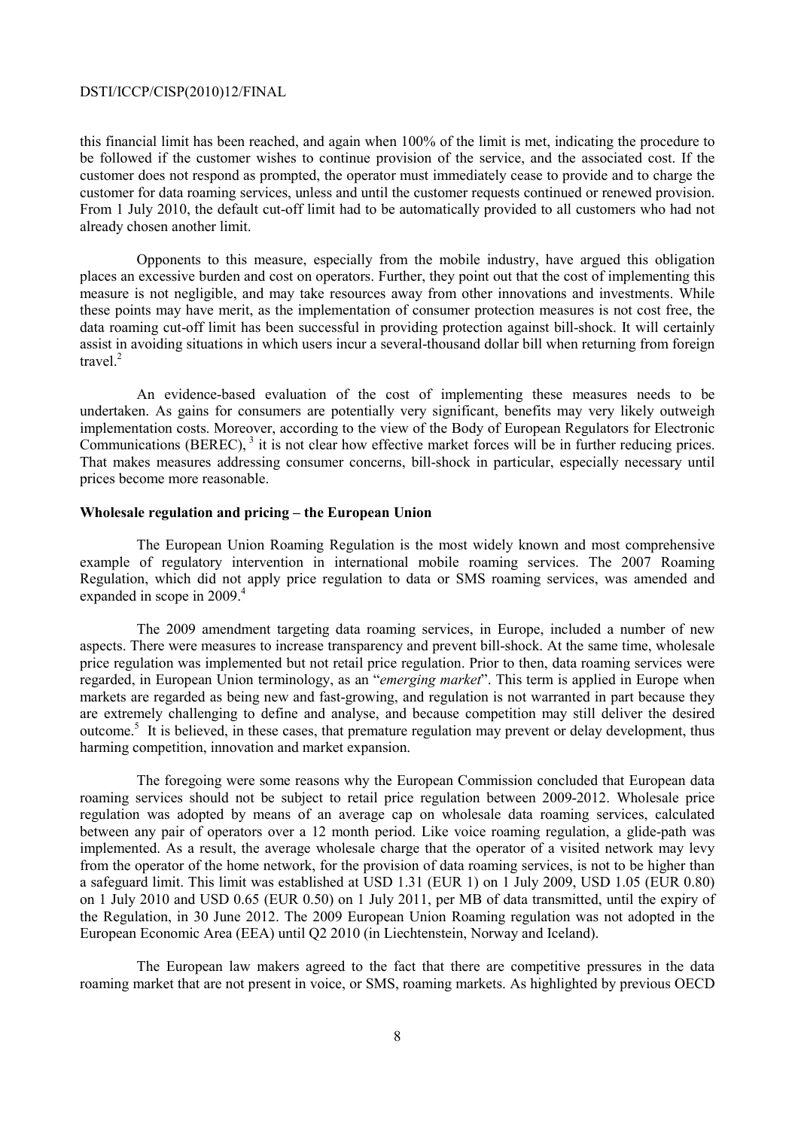this financial limit has been reached, and again when 100% of the limit is met, indicating the procedure to be followed if the customer wishes to continue provision of the service, and the associated cost. If the customer does not respond as prompted, the operator must immediately cease to provide and to charge the customer for data roaming services, unless and until the customer requests continued or renewed provision. From 1 July 2010, the default cut-off limit had to be automatically provided to all customers who had not already chosen another limit.

 Opponents to this measure, especially from the mobile industry, have argued this obligation places an excessive burden and cost on operators. Further, they point out that the cost of implementing this measure is not negligible, and may take resources away from other innovations and investments. While these points may have merit, as the implementation of consumer protection measures is not cost free, the data roaming cut-off limit has been successful in providing protection against bill-shock. It will certainly assist in avoiding situations in which users incur a several-thousand dollar bill when returning from foreign travel.<sup>2</sup>

 An evidence-based evaluation of the cost of implementing these measures needs to be undertaken. As gains for consumers are potentially very significant, benefits may very likely outweigh implementation costs. Moreover, according to the view of the Body of European Regulators for Electronic Communications (BEREC),  $3$  it is not clear how effective market forces will be in further reducing prices. That makes measures addressing consumer concerns, bill-shock in particular, especially necessary until prices become more reasonable.

#### **Wholesale regulation and pricing – the European Union**

 The European Union Roaming Regulation is the most widely known and most comprehensive example of regulatory intervention in international mobile roaming services. The 2007 Roaming Regulation, which did not apply price regulation to data or SMS roaming services, was amended and expanded in scope in 2009.<sup>4</sup>

 The 2009 amendment targeting data roaming services, in Europe, included a number of new aspects. There were measures to increase transparency and prevent bill-shock. At the same time, wholesale price regulation was implemented but not retail price regulation. Prior to then, data roaming services were regarded, in European Union terminology, as an "*emerging market*". This term is applied in Europe when markets are regarded as being new and fast-growing, and regulation is not warranted in part because they are extremely challenging to define and analyse, and because competition may still deliver the desired outcome.<sup>5</sup> It is believed, in these cases, that premature regulation may prevent or delay development, thus harming competition, innovation and market expansion.

 The foregoing were some reasons why the European Commission concluded that European data roaming services should not be subject to retail price regulation between 2009-2012. Wholesale price regulation was adopted by means of an average cap on wholesale data roaming services, calculated between any pair of operators over a 12 month period. Like voice roaming regulation, a glide-path was implemented. As a result, the average wholesale charge that the operator of a visited network may levy from the operator of the home network, for the provision of data roaming services, is not to be higher than a safeguard limit. This limit was established at USD 1.31 (EUR 1) on 1 July 2009, USD 1.05 (EUR 0.80) on 1 July 2010 and USD 0.65 (EUR 0.50) on 1 July 2011, per MB of data transmitted, until the expiry of the Regulation, in 30 June 2012. The 2009 European Union Roaming regulation was not adopted in the European Economic Area (EEA) until Q2 2010 (in Liechtenstein, Norway and Iceland).

 The European law makers agreed to the fact that there are competitive pressures in the data roaming market that are not present in voice, or SMS, roaming markets. As highlighted by previous OECD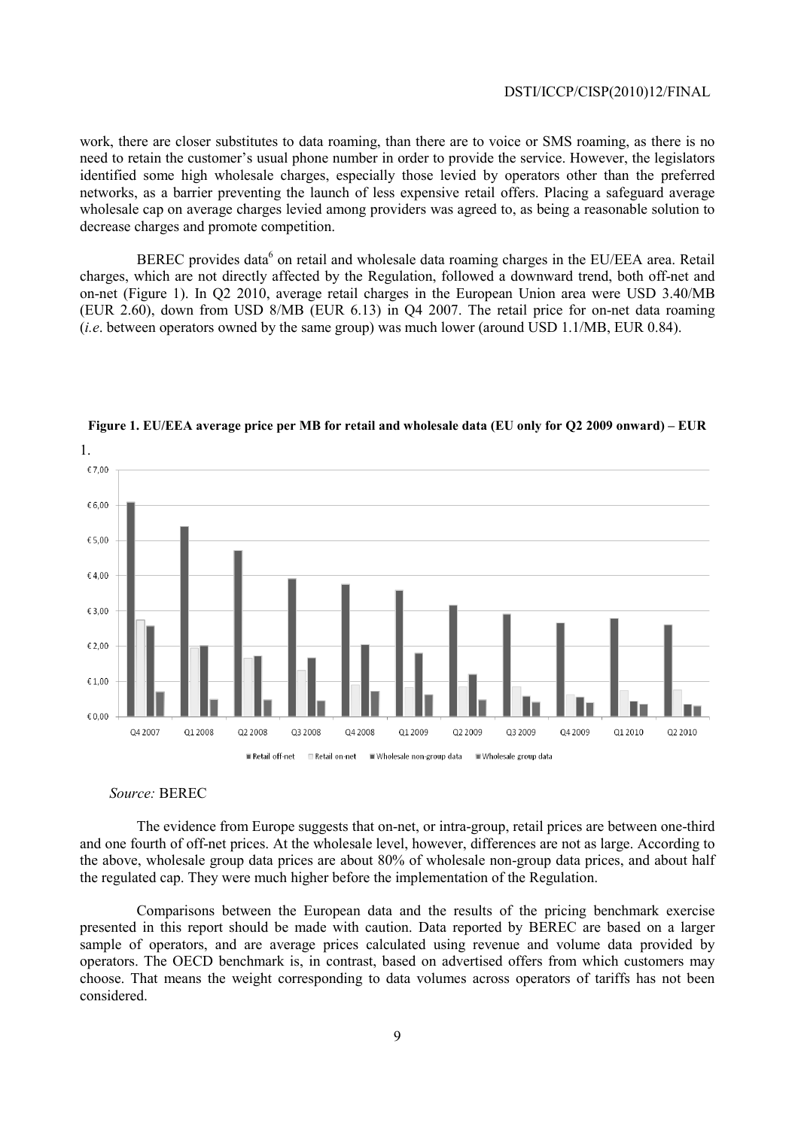work, there are closer substitutes to data roaming, than there are to voice or SMS roaming, as there is no need to retain the customer's usual phone number in order to provide the service. However, the legislators identified some high wholesale charges, especially those levied by operators other than the preferred networks, as a barrier preventing the launch of less expensive retail offers. Placing a safeguard average wholesale cap on average charges levied among providers was agreed to, as being a reasonable solution to decrease charges and promote competition.

BEREC provides data<sup>6</sup> on retail and wholesale data roaming charges in the EU/EEA area. Retail charges, which are not directly affected by the Regulation, followed a downward trend, both off-net and on-net (Figure 1). In Q2 2010, average retail charges in the European Union area were USD 3.40/MB (EUR 2.60), down from USD 8/MB (EUR 6.13) in Q4 2007. The retail price for on-net data roaming (*i.e*. between operators owned by the same group) was much lower (around USD 1.1/MB, EUR 0.84).



**Figure 1. EU/EEA average price per MB for retail and wholesale data (EU only for Q2 2009 onward) – EUR** 

#### *Source:* BEREC

 The evidence from Europe suggests that on-net, or intra-group, retail prices are between one-third and one fourth of off-net prices. At the wholesale level, however, differences are not as large. According to the above, wholesale group data prices are about 80% of wholesale non-group data prices, and about half the regulated cap. They were much higher before the implementation of the Regulation.

 Comparisons between the European data and the results of the pricing benchmark exercise presented in this report should be made with caution. Data reported by BEREC are based on a larger sample of operators, and are average prices calculated using revenue and volume data provided by operators. The OECD benchmark is, in contrast, based on advertised offers from which customers may choose. That means the weight corresponding to data volumes across operators of tariffs has not been considered.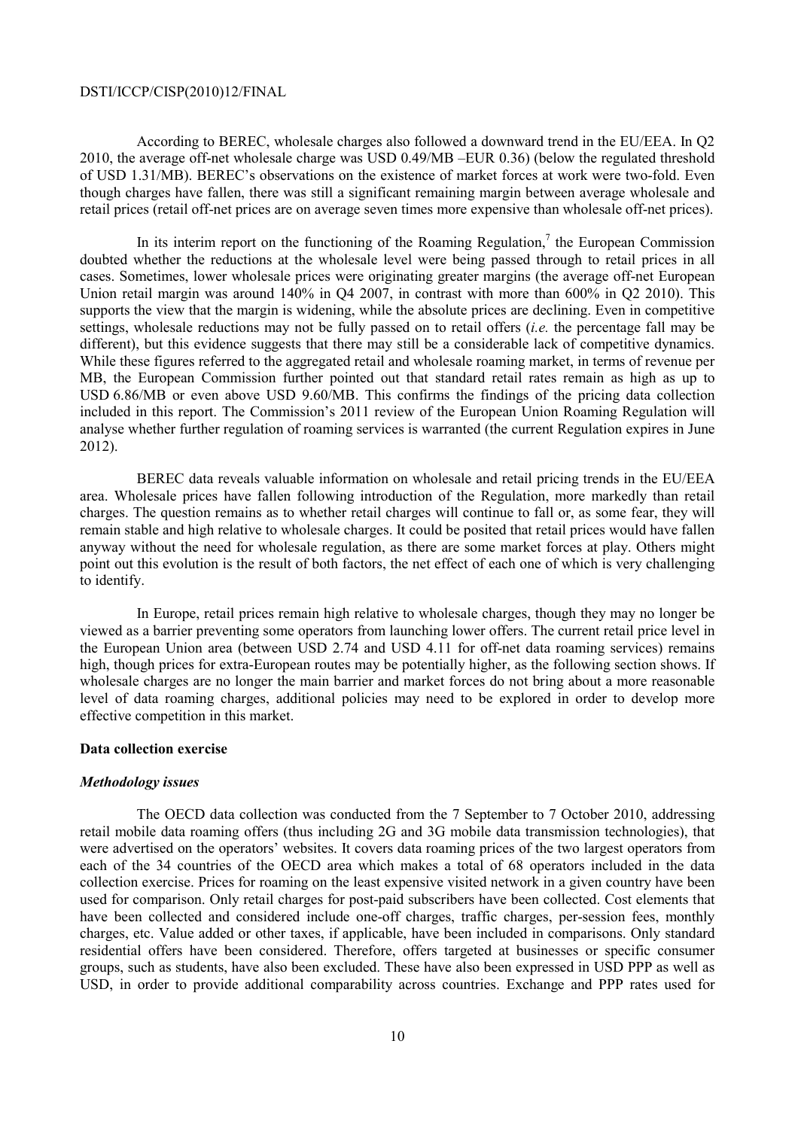According to BEREC, wholesale charges also followed a downward trend in the EU/EEA. In Q2 2010, the average off-net wholesale charge was USD 0.49/MB –EUR 0.36) (below the regulated threshold of USD 1.31/MB). BEREC's observations on the existence of market forces at work were two-fold. Even though charges have fallen, there was still a significant remaining margin between average wholesale and retail prices (retail off-net prices are on average seven times more expensive than wholesale off-net prices).

In its interim report on the functioning of the Roaming Regulation, $\lambda$  the European Commission doubted whether the reductions at the wholesale level were being passed through to retail prices in all cases. Sometimes, lower wholesale prices were originating greater margins (the average off-net European Union retail margin was around  $140\%$  in O4 2007, in contrast with more than 600% in O2 2010). This supports the view that the margin is widening, while the absolute prices are declining. Even in competitive settings, wholesale reductions may not be fully passed on to retail offers (*i.e.* the percentage fall may be different), but this evidence suggests that there may still be a considerable lack of competitive dynamics. While these figures referred to the aggregated retail and wholesale roaming market, in terms of revenue per MB, the European Commission further pointed out that standard retail rates remain as high as up to USD 6.86/MB or even above USD 9.60/MB. This confirms the findings of the pricing data collection included in this report. The Commission's 2011 review of the European Union Roaming Regulation will analyse whether further regulation of roaming services is warranted (the current Regulation expires in June 2012).

 BEREC data reveals valuable information on wholesale and retail pricing trends in the EU/EEA area. Wholesale prices have fallen following introduction of the Regulation, more markedly than retail charges. The question remains as to whether retail charges will continue to fall or, as some fear, they will remain stable and high relative to wholesale charges. It could be posited that retail prices would have fallen anyway without the need for wholesale regulation, as there are some market forces at play. Others might point out this evolution is the result of both factors, the net effect of each one of which is very challenging to identify.

 In Europe, retail prices remain high relative to wholesale charges, though they may no longer be viewed as a barrier preventing some operators from launching lower offers. The current retail price level in the European Union area (between USD 2.74 and USD 4.11 for off-net data roaming services) remains high, though prices for extra-European routes may be potentially higher, as the following section shows. If wholesale charges are no longer the main barrier and market forces do not bring about a more reasonable level of data roaming charges, additional policies may need to be explored in order to develop more effective competition in this market.

#### **Data collection exercise**

#### *Methodology issues*

 The OECD data collection was conducted from the 7 September to 7 October 2010, addressing retail mobile data roaming offers (thus including 2G and 3G mobile data transmission technologies), that were advertised on the operators' websites. It covers data roaming prices of the two largest operators from each of the 34 countries of the OECD area which makes a total of 68 operators included in the data collection exercise. Prices for roaming on the least expensive visited network in a given country have been used for comparison. Only retail charges for post-paid subscribers have been collected. Cost elements that have been collected and considered include one-off charges, traffic charges, per-session fees, monthly charges, etc. Value added or other taxes, if applicable, have been included in comparisons. Only standard residential offers have been considered. Therefore, offers targeted at businesses or specific consumer groups, such as students, have also been excluded. These have also been expressed in USD PPP as well as USD, in order to provide additional comparability across countries. Exchange and PPP rates used for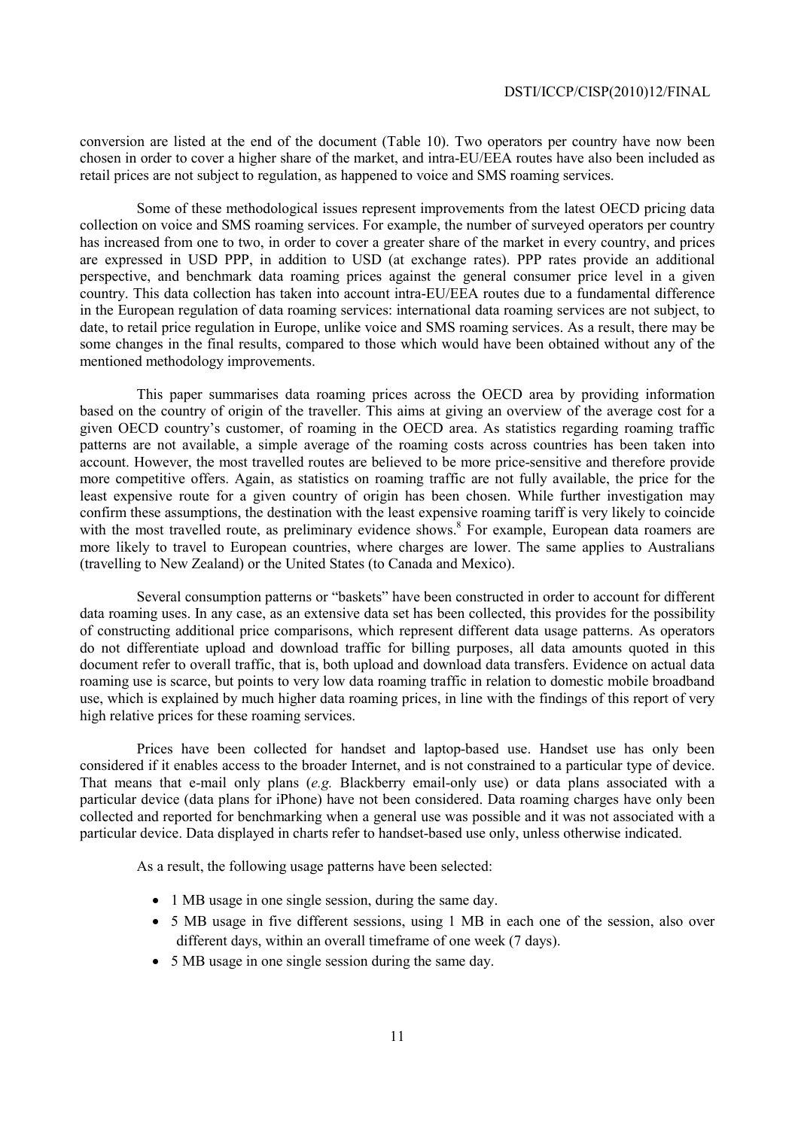conversion are listed at the end of the document (Table 10). Two operators per country have now been chosen in order to cover a higher share of the market, and intra-EU/EEA routes have also been included as retail prices are not subject to regulation, as happened to voice and SMS roaming services.

 Some of these methodological issues represent improvements from the latest OECD pricing data collection on voice and SMS roaming services. For example, the number of surveyed operators per country has increased from one to two, in order to cover a greater share of the market in every country, and prices are expressed in USD PPP, in addition to USD (at exchange rates). PPP rates provide an additional perspective, and benchmark data roaming prices against the general consumer price level in a given country. This data collection has taken into account intra-EU/EEA routes due to a fundamental difference in the European regulation of data roaming services: international data roaming services are not subject, to date, to retail price regulation in Europe, unlike voice and SMS roaming services. As a result, there may be some changes in the final results, compared to those which would have been obtained without any of the mentioned methodology improvements.

 This paper summarises data roaming prices across the OECD area by providing information based on the country of origin of the traveller. This aims at giving an overview of the average cost for a given OECD country's customer, of roaming in the OECD area. As statistics regarding roaming traffic patterns are not available, a simple average of the roaming costs across countries has been taken into account. However, the most travelled routes are believed to be more price-sensitive and therefore provide more competitive offers. Again, as statistics on roaming traffic are not fully available, the price for the least expensive route for a given country of origin has been chosen. While further investigation may confirm these assumptions, the destination with the least expensive roaming tariff is very likely to coincide with the most travelled route, as preliminary evidence shows.<sup>8</sup> For example, European data roamers are more likely to travel to European countries, where charges are lower. The same applies to Australians (travelling to New Zealand) or the United States (to Canada and Mexico).

 Several consumption patterns or "baskets" have been constructed in order to account for different data roaming uses. In any case, as an extensive data set has been collected, this provides for the possibility of constructing additional price comparisons, which represent different data usage patterns. As operators do not differentiate upload and download traffic for billing purposes, all data amounts quoted in this document refer to overall traffic, that is, both upload and download data transfers. Evidence on actual data roaming use is scarce, but points to very low data roaming traffic in relation to domestic mobile broadband use, which is explained by much higher data roaming prices, in line with the findings of this report of very high relative prices for these roaming services.

 Prices have been collected for handset and laptop-based use. Handset use has only been considered if it enables access to the broader Internet, and is not constrained to a particular type of device. That means that e-mail only plans (*e.g.* Blackberry email-only use) or data plans associated with a particular device (data plans for iPhone) have not been considered. Data roaming charges have only been collected and reported for benchmarking when a general use was possible and it was not associated with a particular device. Data displayed in charts refer to handset-based use only, unless otherwise indicated.

As a result, the following usage patterns have been selected:

- 1 MB usage in one single session, during the same day.
- 5 MB usage in five different sessions, using 1 MB in each one of the session, also over different days, within an overall timeframe of one week (7 days).
- 5 MB usage in one single session during the same day.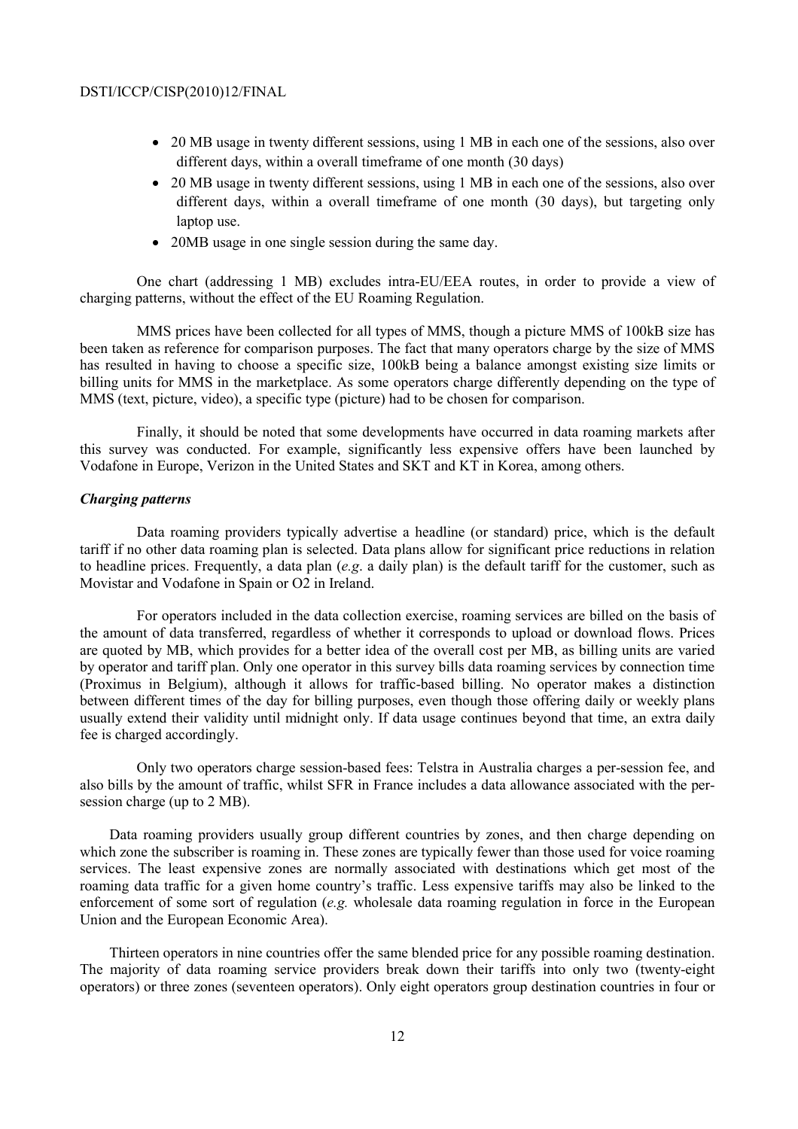- 20 MB usage in twenty different sessions, using 1 MB in each one of the sessions, also over different days, within a overall timeframe of one month (30 days)
- 20 MB usage in twenty different sessions, using 1 MB in each one of the sessions, also over different days, within a overall timeframe of one month (30 days), but targeting only laptop use.
- 20MB usage in one single session during the same day.

 One chart (addressing 1 MB) excludes intra-EU/EEA routes, in order to provide a view of charging patterns, without the effect of the EU Roaming Regulation.

 MMS prices have been collected for all types of MMS, though a picture MMS of 100kB size has been taken as reference for comparison purposes. The fact that many operators charge by the size of MMS has resulted in having to choose a specific size, 100kB being a balance amongst existing size limits or billing units for MMS in the marketplace. As some operators charge differently depending on the type of MMS (text, picture, video), a specific type (picture) had to be chosen for comparison.

 Finally, it should be noted that some developments have occurred in data roaming markets after this survey was conducted. For example, significantly less expensive offers have been launched by Vodafone in Europe, Verizon in the United States and SKT and KT in Korea, among others.

#### *Charging patterns*

 Data roaming providers typically advertise a headline (or standard) price, which is the default tariff if no other data roaming plan is selected. Data plans allow for significant price reductions in relation to headline prices. Frequently, a data plan (*e.g*. a daily plan) is the default tariff for the customer, such as Movistar and Vodafone in Spain or O2 in Ireland.

 For operators included in the data collection exercise, roaming services are billed on the basis of the amount of data transferred, regardless of whether it corresponds to upload or download flows. Prices are quoted by MB, which provides for a better idea of the overall cost per MB, as billing units are varied by operator and tariff plan. Only one operator in this survey bills data roaming services by connection time (Proximus in Belgium), although it allows for traffic-based billing. No operator makes a distinction between different times of the day for billing purposes, even though those offering daily or weekly plans usually extend their validity until midnight only. If data usage continues beyond that time, an extra daily fee is charged accordingly.

 Only two operators charge session-based fees: Telstra in Australia charges a per-session fee, and also bills by the amount of traffic, whilst SFR in France includes a data allowance associated with the persession charge (up to 2 MB).

Data roaming providers usually group different countries by zones, and then charge depending on which zone the subscriber is roaming in. These zones are typically fewer than those used for voice roaming services. The least expensive zones are normally associated with destinations which get most of the roaming data traffic for a given home country's traffic. Less expensive tariffs may also be linked to the enforcement of some sort of regulation (*e.g.* wholesale data roaming regulation in force in the European Union and the European Economic Area).

Thirteen operators in nine countries offer the same blended price for any possible roaming destination. The majority of data roaming service providers break down their tariffs into only two (twenty-eight operators) or three zones (seventeen operators). Only eight operators group destination countries in four or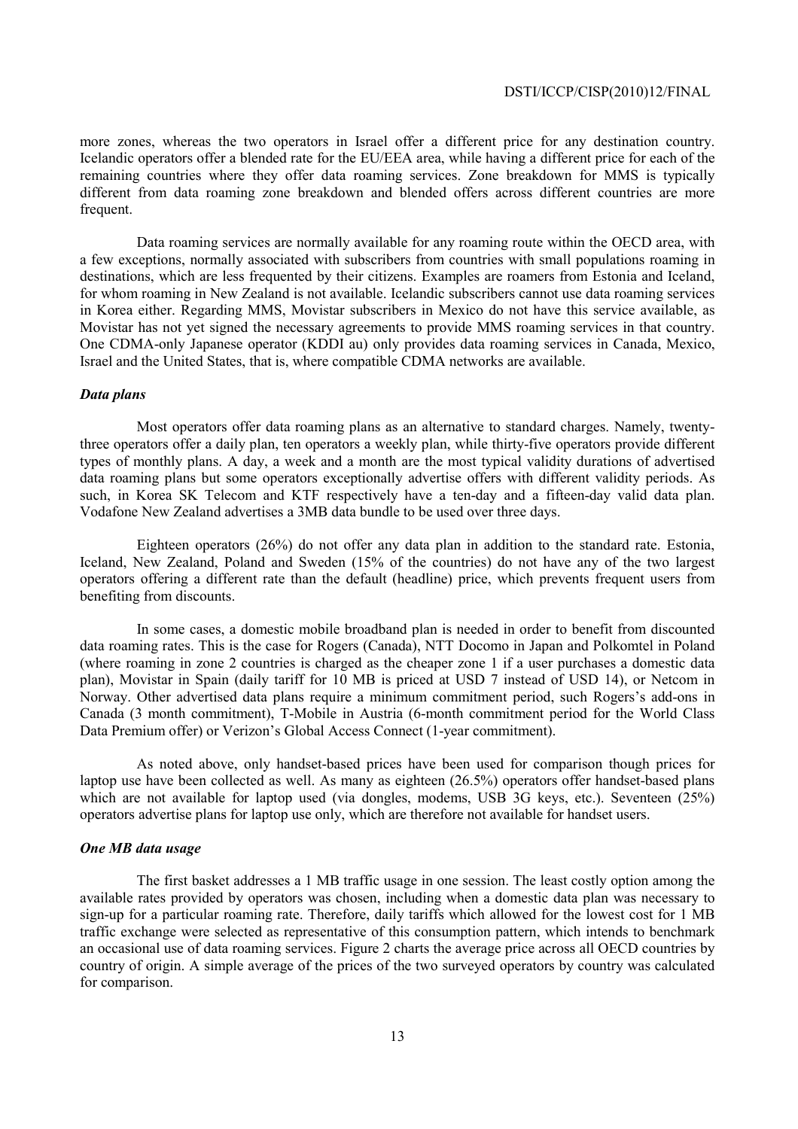more zones, whereas the two operators in Israel offer a different price for any destination country. Icelandic operators offer a blended rate for the EU/EEA area, while having a different price for each of the remaining countries where they offer data roaming services. Zone breakdown for MMS is typically different from data roaming zone breakdown and blended offers across different countries are more frequent.

 Data roaming services are normally available for any roaming route within the OECD area, with a few exceptions, normally associated with subscribers from countries with small populations roaming in destinations, which are less frequented by their citizens. Examples are roamers from Estonia and Iceland, for whom roaming in New Zealand is not available. Icelandic subscribers cannot use data roaming services in Korea either. Regarding MMS, Movistar subscribers in Mexico do not have this service available, as Movistar has not yet signed the necessary agreements to provide MMS roaming services in that country. One CDMA-only Japanese operator (KDDI au) only provides data roaming services in Canada, Mexico, Israel and the United States, that is, where compatible CDMA networks are available.

#### *Data plans*

 Most operators offer data roaming plans as an alternative to standard charges. Namely, twentythree operators offer a daily plan, ten operators a weekly plan, while thirty-five operators provide different types of monthly plans. A day, a week and a month are the most typical validity durations of advertised data roaming plans but some operators exceptionally advertise offers with different validity periods. As such, in Korea SK Telecom and KTF respectively have a ten-day and a fifteen-day valid data plan. Vodafone New Zealand advertises a 3MB data bundle to be used over three days.

 Eighteen operators (26%) do not offer any data plan in addition to the standard rate. Estonia, Iceland, New Zealand, Poland and Sweden (15% of the countries) do not have any of the two largest operators offering a different rate than the default (headline) price, which prevents frequent users from benefiting from discounts.

 In some cases, a domestic mobile broadband plan is needed in order to benefit from discounted data roaming rates. This is the case for Rogers (Canada), NTT Docomo in Japan and Polkomtel in Poland (where roaming in zone 2 countries is charged as the cheaper zone 1 if a user purchases a domestic data plan), Movistar in Spain (daily tariff for 10 MB is priced at USD 7 instead of USD 14), or Netcom in Norway. Other advertised data plans require a minimum commitment period, such Rogers's add-ons in Canada (3 month commitment), T-Mobile in Austria (6-month commitment period for the World Class Data Premium offer) or Verizon's Global Access Connect (1-year commitment).

 As noted above, only handset-based prices have been used for comparison though prices for laptop use have been collected as well. As many as eighteen (26.5%) operators offer handset-based plans which are not available for laptop used (via dongles, modems, USB 3G keys, etc.). Seventeen (25%) operators advertise plans for laptop use only, which are therefore not available for handset users.

#### *One MB data usage*

 The first basket addresses a 1 MB traffic usage in one session. The least costly option among the available rates provided by operators was chosen, including when a domestic data plan was necessary to sign-up for a particular roaming rate. Therefore, daily tariffs which allowed for the lowest cost for 1 MB traffic exchange were selected as representative of this consumption pattern, which intends to benchmark an occasional use of data roaming services. Figure 2 charts the average price across all OECD countries by country of origin. A simple average of the prices of the two surveyed operators by country was calculated for comparison.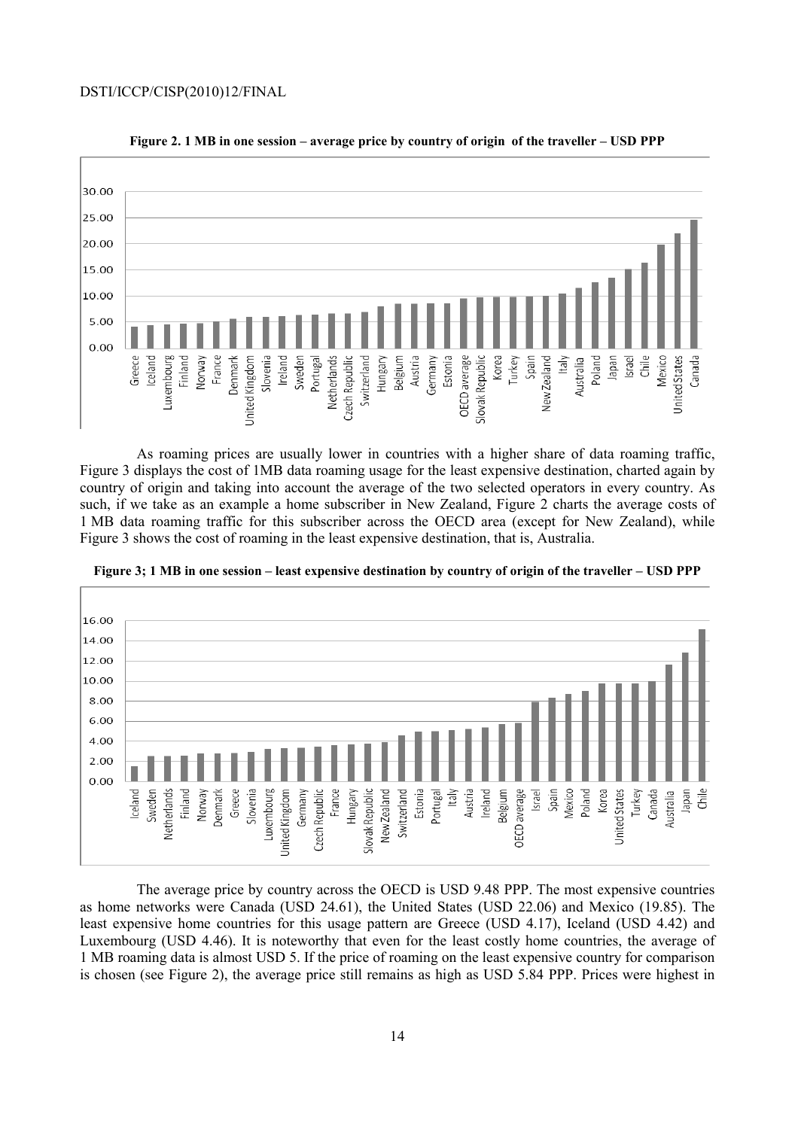

 As roaming prices are usually lower in countries with a higher share of data roaming traffic, Figure 3 displays the cost of 1MB data roaming usage for the least expensive destination, charted again by country of origin and taking into account the average of the two selected operators in every country. As such, if we take as an example a home subscriber in New Zealand, Figure 2 charts the average costs of 1 MB data roaming traffic for this subscriber across the OECD area (except for New Zealand), while Figure 3 shows the cost of roaming in the least expensive destination, that is, Australia.



**Figure 3; 1 MB in one session – least expensive destination by country of origin of the traveller – USD PPP** 

 The average price by country across the OECD is USD 9.48 PPP. The most expensive countries as home networks were Canada (USD 24.61), the United States (USD 22.06) and Mexico (19.85). The least expensive home countries for this usage pattern are Greece (USD 4.17), Iceland (USD 4.42) and Luxembourg (USD 4.46). It is noteworthy that even for the least costly home countries, the average of 1 MB roaming data is almost USD 5. If the price of roaming on the least expensive country for comparison is chosen (see Figure 2), the average price still remains as high as USD 5.84 PPP. Prices were highest in

#### **Figure 2. 1 MB in one session – average price by country of origin of the traveller – USD PPP**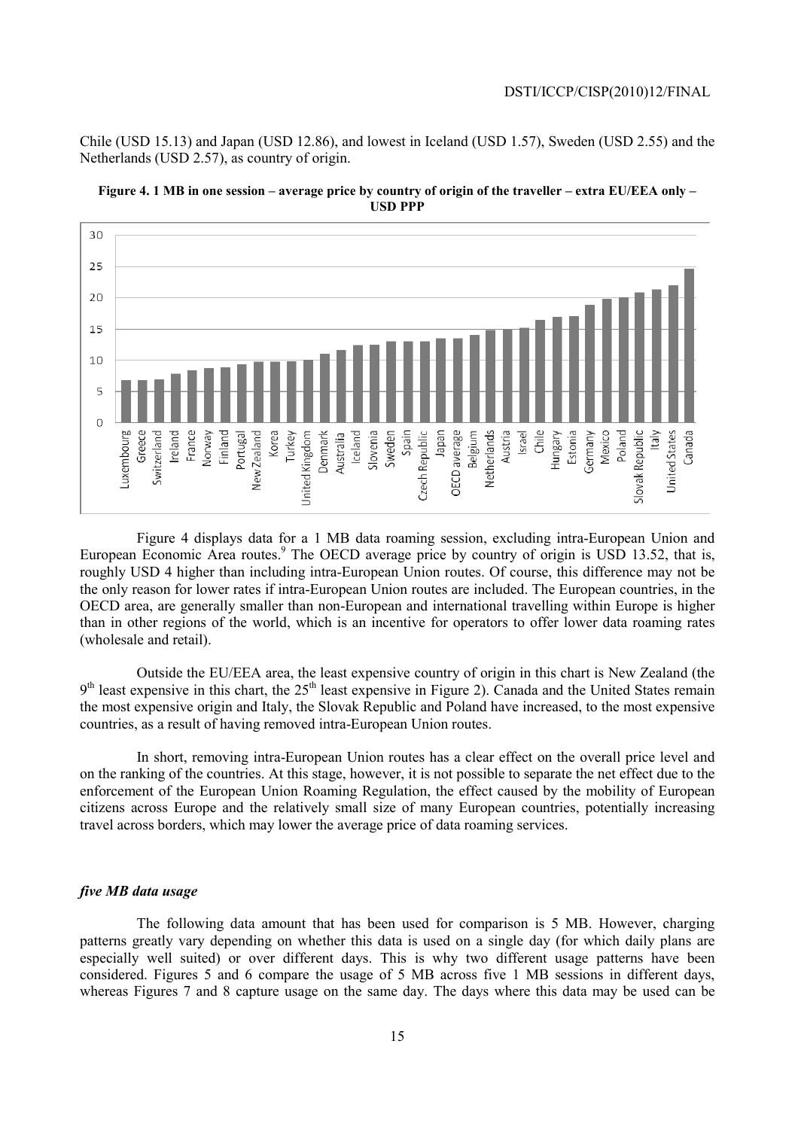Chile (USD 15.13) and Japan (USD 12.86), and lowest in Iceland (USD 1.57), Sweden (USD 2.55) and the Netherlands (USD 2.57), as country of origin.





 Figure 4 displays data for a 1 MB data roaming session, excluding intra-European Union and European Economic Area routes.<sup>9</sup> The OECD average price by country of origin is USD 13.52, that is, roughly USD 4 higher than including intra-European Union routes. Of course, this difference may not be the only reason for lower rates if intra-European Union routes are included. The European countries, in the OECD area, are generally smaller than non-European and international travelling within Europe is higher than in other regions of the world, which is an incentive for operators to offer lower data roaming rates (wholesale and retail).

 Outside the EU/EEA area, the least expensive country of origin in this chart is New Zealand (the  $9<sup>th</sup>$  least expensive in this chart, the 25<sup>th</sup> least expensive in Figure 2). Canada and the United States remain the most expensive origin and Italy, the Slovak Republic and Poland have increased, to the most expensive countries, as a result of having removed intra-European Union routes.

 In short, removing intra-European Union routes has a clear effect on the overall price level and on the ranking of the countries. At this stage, however, it is not possible to separate the net effect due to the enforcement of the European Union Roaming Regulation, the effect caused by the mobility of European citizens across Europe and the relatively small size of many European countries, potentially increasing travel across borders, which may lower the average price of data roaming services.

#### *five MB data usage*

 The following data amount that has been used for comparison is 5 MB. However, charging patterns greatly vary depending on whether this data is used on a single day (for which daily plans are especially well suited) or over different days. This is why two different usage patterns have been considered. Figures 5 and 6 compare the usage of 5 MB across five 1 MB sessions in different days, whereas Figures 7 and 8 capture usage on the same day. The days where this data may be used can be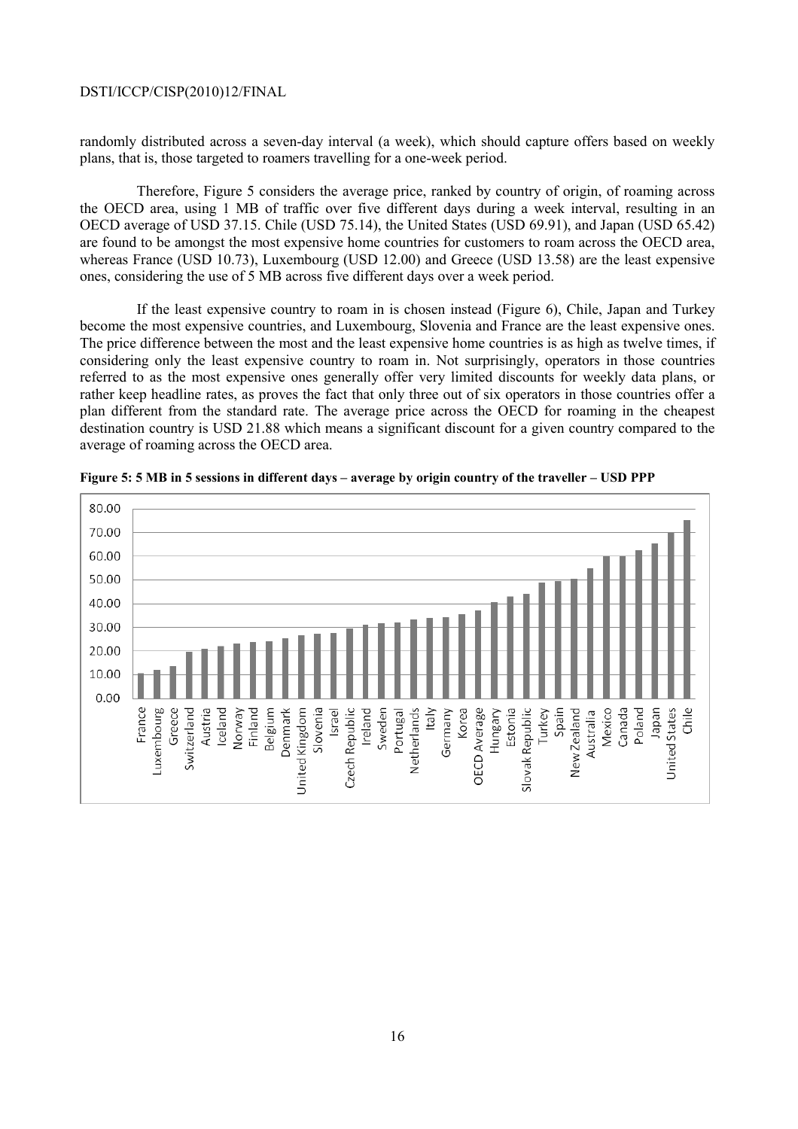randomly distributed across a seven-day interval (a week), which should capture offers based on weekly plans, that is, those targeted to roamers travelling for a one-week period.

 Therefore, Figure 5 considers the average price, ranked by country of origin, of roaming across the OECD area, using 1 MB of traffic over five different days during a week interval, resulting in an OECD average of USD 37.15. Chile (USD 75.14), the United States (USD 69.91), and Japan (USD 65.42) are found to be amongst the most expensive home countries for customers to roam across the OECD area, whereas France (USD 10.73), Luxembourg (USD 12.00) and Greece (USD 13.58) are the least expensive ones, considering the use of 5 MB across five different days over a week period.

 If the least expensive country to roam in is chosen instead (Figure 6), Chile, Japan and Turkey become the most expensive countries, and Luxembourg, Slovenia and France are the least expensive ones. The price difference between the most and the least expensive home countries is as high as twelve times, if considering only the least expensive country to roam in. Not surprisingly, operators in those countries referred to as the most expensive ones generally offer very limited discounts for weekly data plans, or rather keep headline rates, as proves the fact that only three out of six operators in those countries offer a plan different from the standard rate. The average price across the OECD for roaming in the cheapest destination country is USD 21.88 which means a significant discount for a given country compared to the average of roaming across the OECD area.



**Figure 5: 5 MB in 5 sessions in different days – average by origin country of the traveller – USD PPP**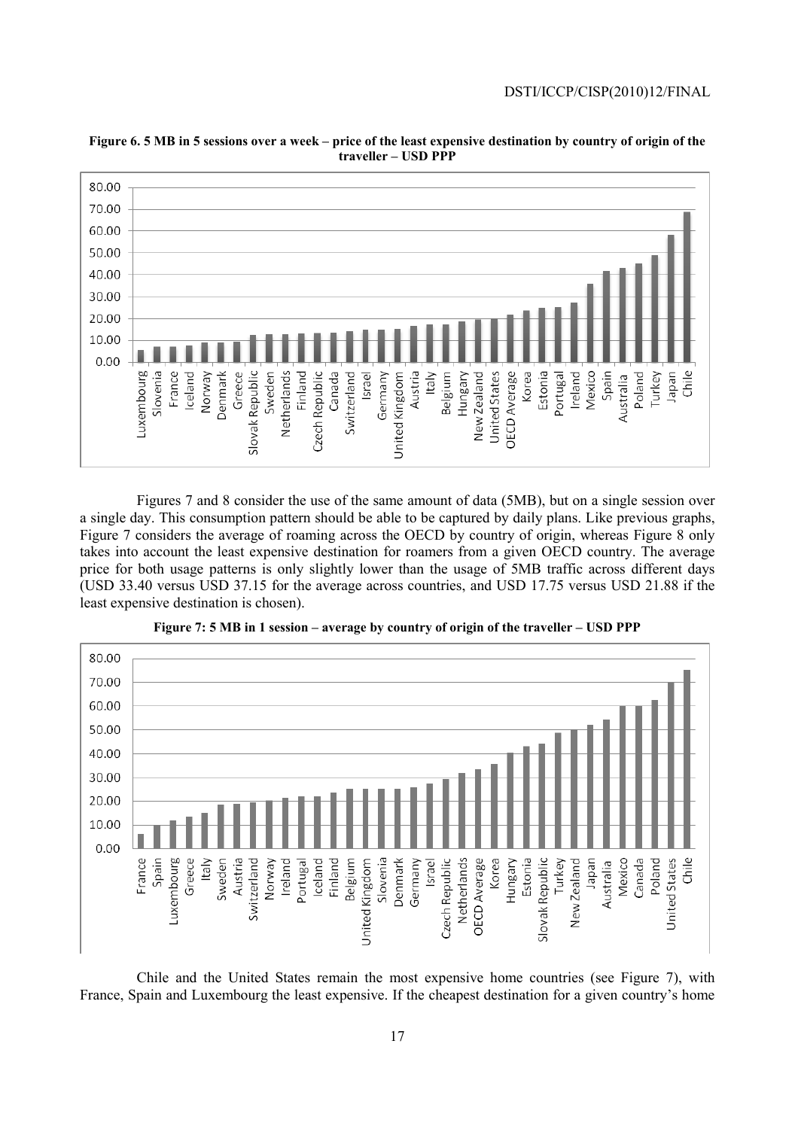

**Figure 6. 5 MB in 5 sessions over a week – price of the least expensive destination by country of origin of the traveller – USD PPP** 

 Figures 7 and 8 consider the use of the same amount of data (5MB), but on a single session over a single day. This consumption pattern should be able to be captured by daily plans. Like previous graphs, Figure 7 considers the average of roaming across the OECD by country of origin, whereas Figure 8 only takes into account the least expensive destination for roamers from a given OECD country. The average price for both usage patterns is only slightly lower than the usage of 5MB traffic across different days (USD 33.40 versus USD 37.15 for the average across countries, and USD 17.75 versus USD 21.88 if the least expensive destination is chosen).



**Figure 7: 5 MB in 1 session – average by country of origin of the traveller – USD PPP** 

 Chile and the United States remain the most expensive home countries (see Figure 7), with France, Spain and Luxembourg the least expensive. If the cheapest destination for a given country's home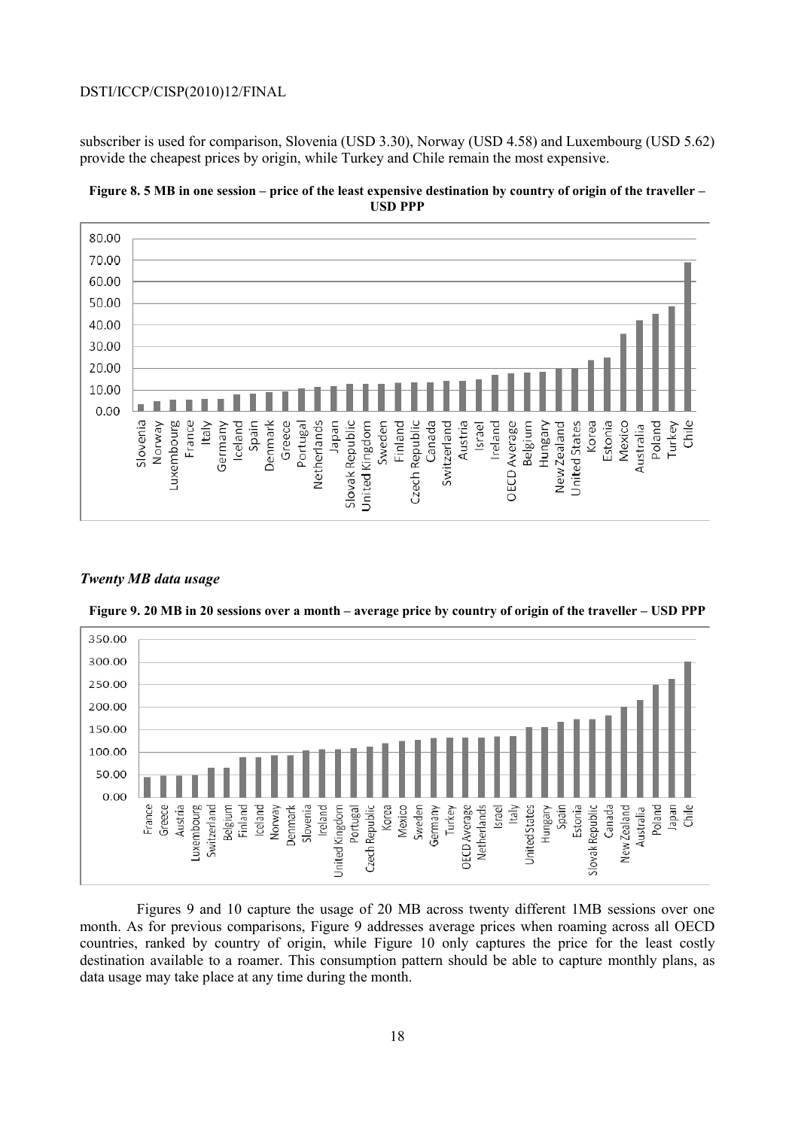subscriber is used for comparison, Slovenia (USD 3.30), Norway (USD 4.58) and Luxembourg (USD 5.62) provide the cheapest prices by origin, while Turkey and Chile remain the most expensive.





#### *Twenty MB data usage*



**Figure 9. 20 MB in 20 sessions over a month – average price by country of origin of the traveller – USD PPP** 

 Figures 9 and 10 capture the usage of 20 MB across twenty different 1MB sessions over one month. As for previous comparisons, Figure 9 addresses average prices when roaming across all OECD countries, ranked by country of origin, while Figure 10 only captures the price for the least costly destination available to a roamer. This consumption pattern should be able to capture monthly plans, as data usage may take place at any time during the month.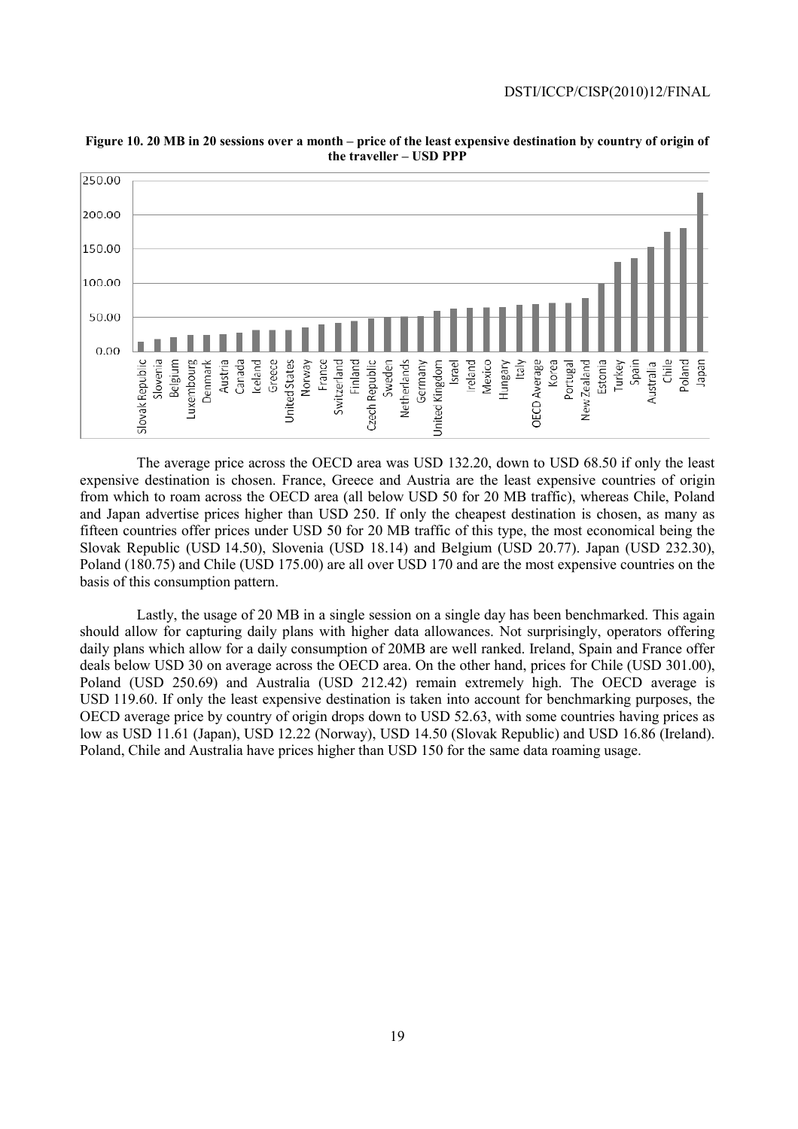

**Figure 10. 20 MB in 20 sessions over a month – price of the least expensive destination by country of origin of the traveller – USD PPP** 

 The average price across the OECD area was USD 132.20, down to USD 68.50 if only the least expensive destination is chosen. France, Greece and Austria are the least expensive countries of origin from which to roam across the OECD area (all below USD 50 for 20 MB traffic), whereas Chile, Poland and Japan advertise prices higher than USD 250. If only the cheapest destination is chosen, as many as fifteen countries offer prices under USD 50 for 20 MB traffic of this type, the most economical being the Slovak Republic (USD 14.50), Slovenia (USD 18.14) and Belgium (USD 20.77). Japan (USD 232.30), Poland (180.75) and Chile (USD 175.00) are all over USD 170 and are the most expensive countries on the basis of this consumption pattern.

 Lastly, the usage of 20 MB in a single session on a single day has been benchmarked. This again should allow for capturing daily plans with higher data allowances. Not surprisingly, operators offering daily plans which allow for a daily consumption of 20MB are well ranked. Ireland, Spain and France offer deals below USD 30 on average across the OECD area. On the other hand, prices for Chile (USD 301.00), Poland (USD 250.69) and Australia (USD 212.42) remain extremely high. The OECD average is USD 119.60. If only the least expensive destination is taken into account for benchmarking purposes, the OECD average price by country of origin drops down to USD 52.63, with some countries having prices as low as USD 11.61 (Japan), USD 12.22 (Norway), USD 14.50 (Slovak Republic) and USD 16.86 (Ireland). Poland, Chile and Australia have prices higher than USD 150 for the same data roaming usage.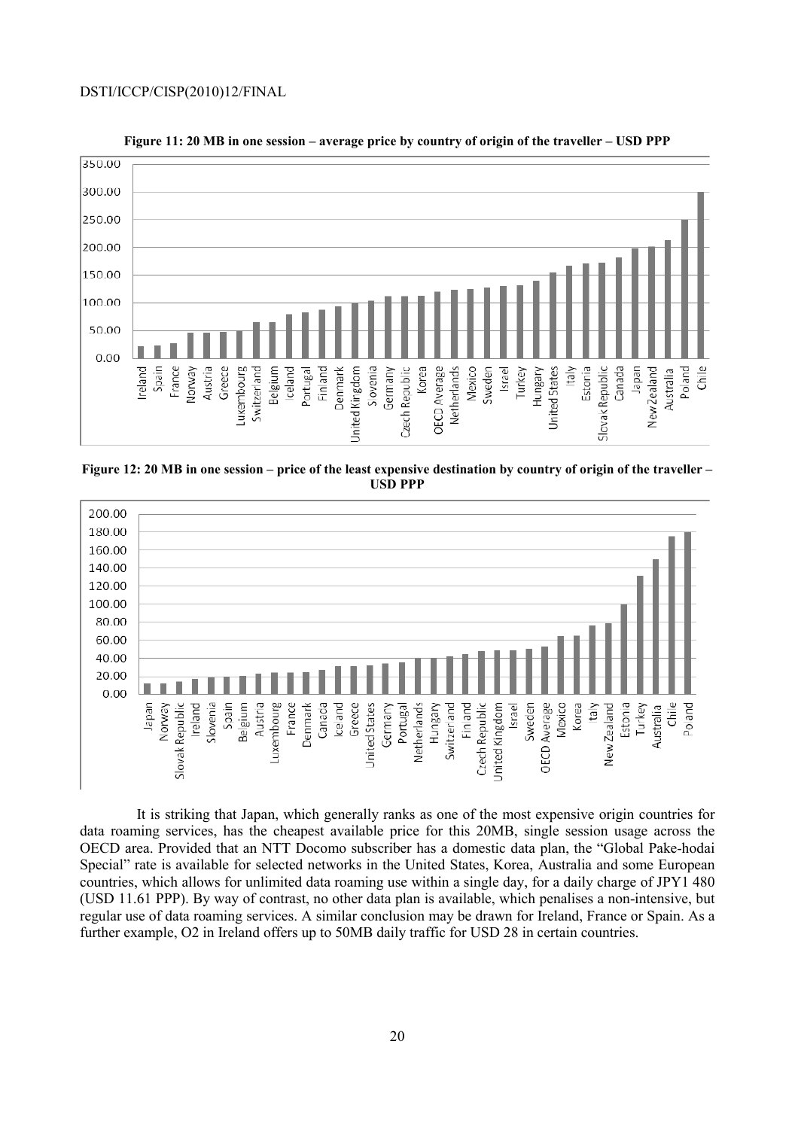

**Figure 11: 20 MB in one session – average price by country of origin of the traveller – USD PPP** 

**Figure 12: 20 MB in one session – price of the least expensive destination by country of origin of the traveller – USD PPP** 



 It is striking that Japan, which generally ranks as one of the most expensive origin countries for data roaming services, has the cheapest available price for this 20MB, single session usage across the OECD area. Provided that an NTT Docomo subscriber has a domestic data plan, the "Global Pake-hodai Special" rate is available for selected networks in the United States, Korea, Australia and some European countries, which allows for unlimited data roaming use within a single day, for a daily charge of JPY1 480 (USD 11.61 PPP). By way of contrast, no other data plan is available, which penalises a non-intensive, but regular use of data roaming services. A similar conclusion may be drawn for Ireland, France or Spain. As a further example, O2 in Ireland offers up to 50MB daily traffic for USD 28 in certain countries.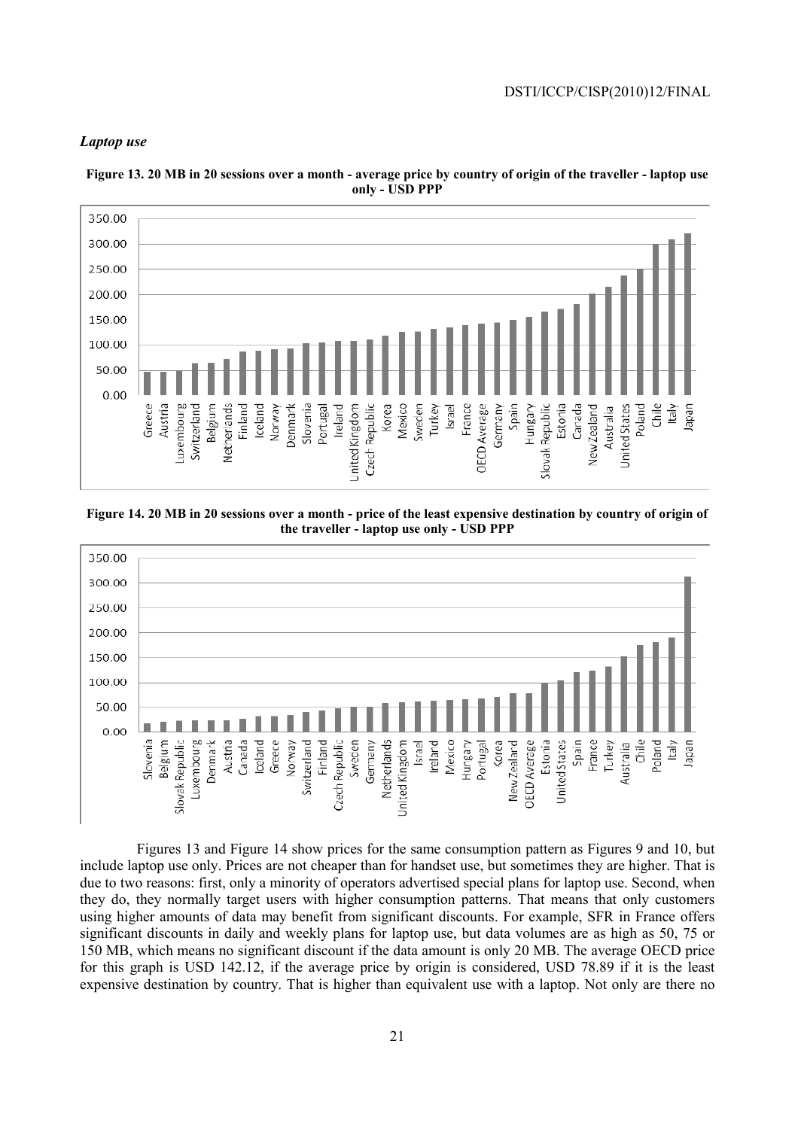#### *Laptop use*



**Figure 13. 20 MB in 20 sessions over a month - average price by country of origin of the traveller - laptop use only - USD PPP** 

**Figure 14. 20 MB in 20 sessions over a month - price of the least expensive destination by country of origin of the traveller - laptop use only - USD PPP** 



 Figures 13 and Figure 14 show prices for the same consumption pattern as Figures 9 and 10, but include laptop use only. Prices are not cheaper than for handset use, but sometimes they are higher. That is due to two reasons: first, only a minority of operators advertised special plans for laptop use. Second, when they do, they normally target users with higher consumption patterns. That means that only customers using higher amounts of data may benefit from significant discounts. For example, SFR in France offers significant discounts in daily and weekly plans for laptop use, but data volumes are as high as 50, 75 or 150 MB, which means no significant discount if the data amount is only 20 MB. The average OECD price for this graph is USD 142.12, if the average price by origin is considered, USD 78.89 if it is the least expensive destination by country. That is higher than equivalent use with a laptop. Not only are there no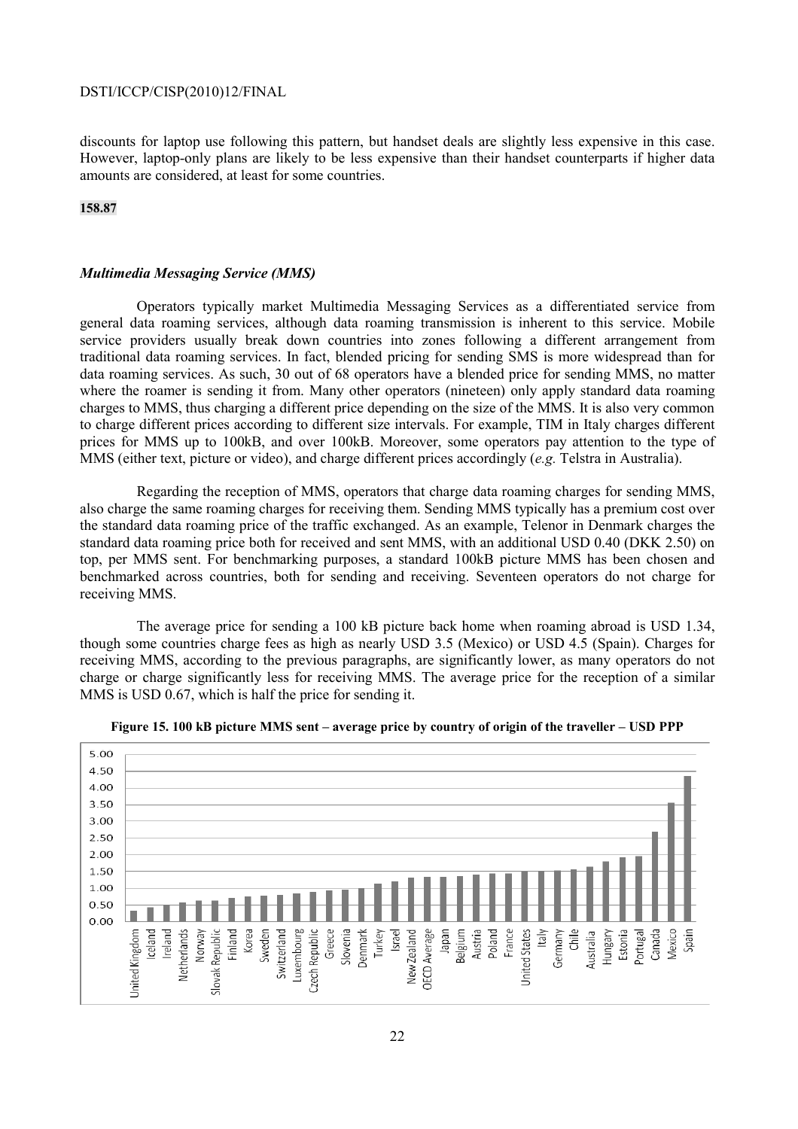discounts for laptop use following this pattern, but handset deals are slightly less expensive in this case. However, laptop-only plans are likely to be less expensive than their handset counterparts if higher data amounts are considered, at least for some countries.

#### **158.87**

#### *Multimedia Messaging Service (MMS)*

 Operators typically market Multimedia Messaging Services as a differentiated service from general data roaming services, although data roaming transmission is inherent to this service. Mobile service providers usually break down countries into zones following a different arrangement from traditional data roaming services. In fact, blended pricing for sending SMS is more widespread than for data roaming services. As such, 30 out of 68 operators have a blended price for sending MMS, no matter where the roamer is sending it from. Many other operators (nineteen) only apply standard data roaming charges to MMS, thus charging a different price depending on the size of the MMS. It is also very common to charge different prices according to different size intervals. For example, TIM in Italy charges different prices for MMS up to 100kB, and over 100kB. Moreover, some operators pay attention to the type of MMS (either text, picture or video), and charge different prices accordingly (*e.g.* Telstra in Australia).

 Regarding the reception of MMS, operators that charge data roaming charges for sending MMS, also charge the same roaming charges for receiving them. Sending MMS typically has a premium cost over the standard data roaming price of the traffic exchanged. As an example, Telenor in Denmark charges the standard data roaming price both for received and sent MMS, with an additional USD 0.40 (DKK 2.50) on top, per MMS sent. For benchmarking purposes, a standard 100kB picture MMS has been chosen and benchmarked across countries, both for sending and receiving. Seventeen operators do not charge for receiving MMS.

 The average price for sending a 100 kB picture back home when roaming abroad is USD 1.34, though some countries charge fees as high as nearly USD 3.5 (Mexico) or USD 4.5 (Spain). Charges for receiving MMS, according to the previous paragraphs, are significantly lower, as many operators do not charge or charge significantly less for receiving MMS. The average price for the reception of a similar MMS is USD 0.67, which is half the price for sending it.



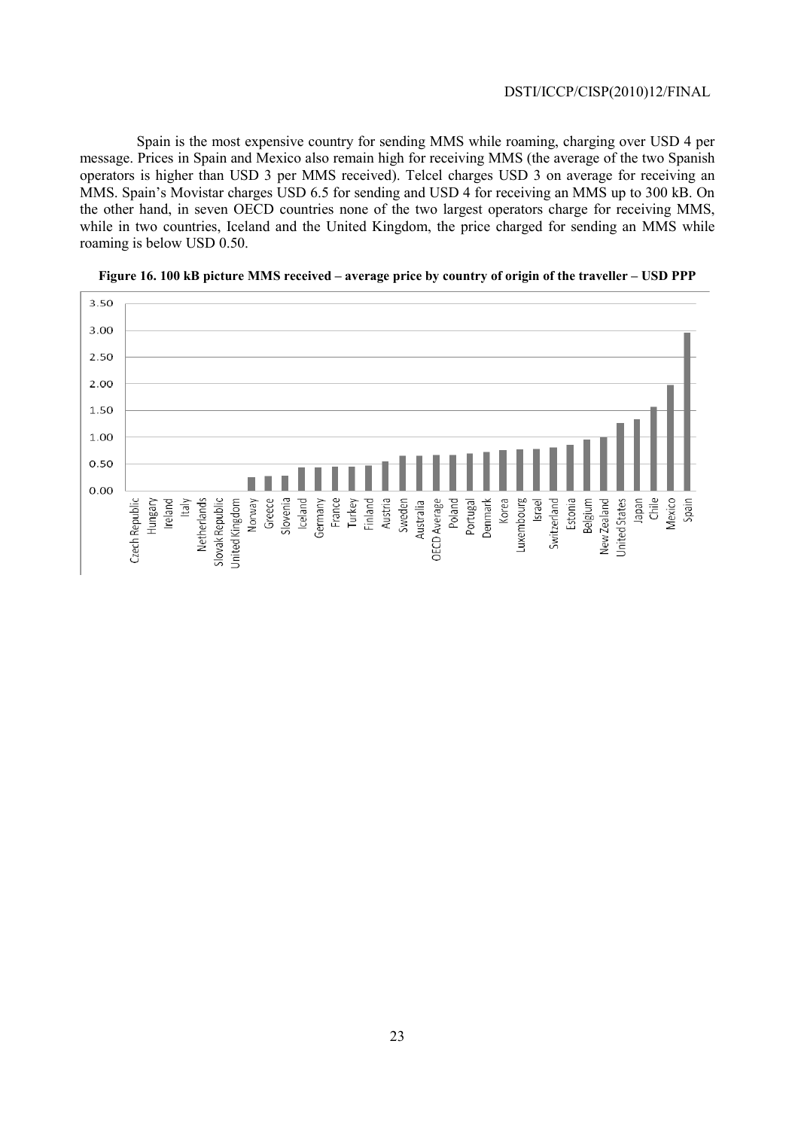Spain is the most expensive country for sending MMS while roaming, charging over USD 4 per message. Prices in Spain and Mexico also remain high for receiving MMS (the average of the two Spanish operators is higher than USD 3 per MMS received). Telcel charges USD 3 on average for receiving an MMS. Spain's Movistar charges USD 6.5 for sending and USD 4 for receiving an MMS up to 300 kB. On the other hand, in seven OECD countries none of the two largest operators charge for receiving MMS, while in two countries, Iceland and the United Kingdom, the price charged for sending an MMS while roaming is below USD 0.50.



**Figure 16. 100 kB picture MMS received – average price by country of origin of the traveller – USD PPP**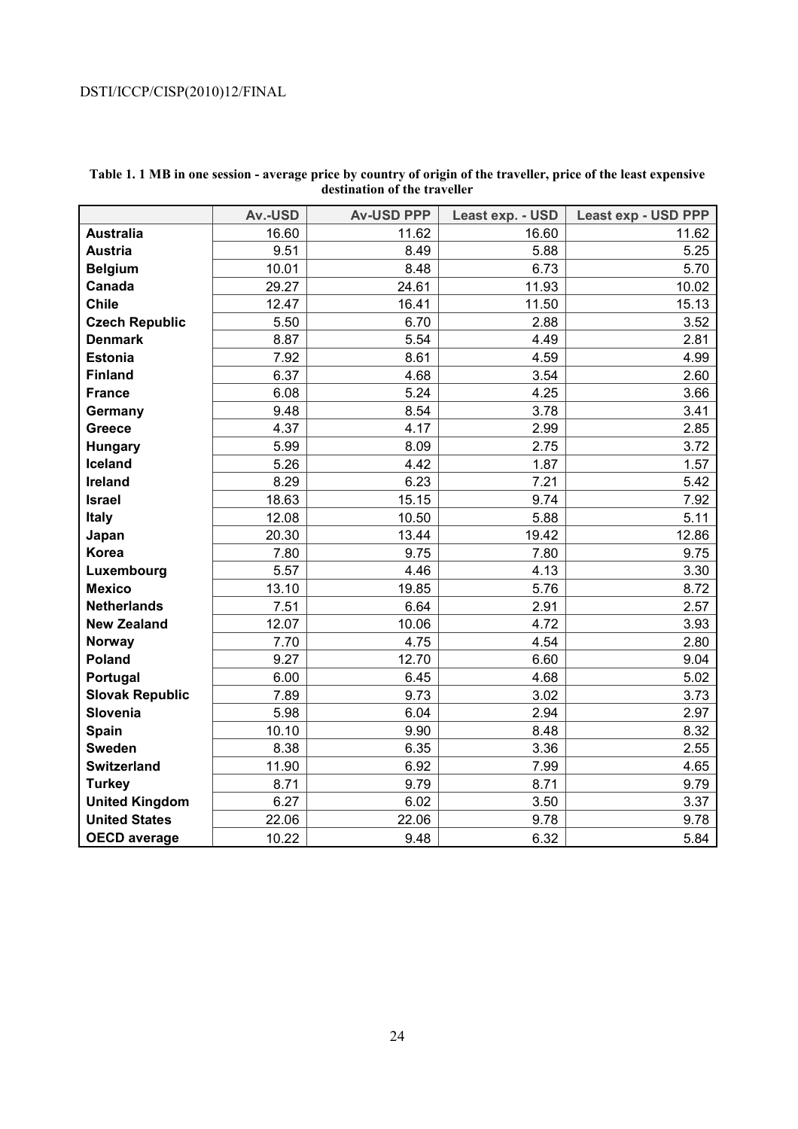|                        | Av.-USD | <b>Av-USD PPP</b> | Least exp. - USD | Least exp - USD PPP |
|------------------------|---------|-------------------|------------------|---------------------|
| <b>Australia</b>       | 16.60   | 11.62             | 16.60            | 11.62               |
| <b>Austria</b>         | 9.51    | 8.49              | 5.88             | 5.25                |
| <b>Belgium</b>         | 10.01   | 8.48              | 6.73             | 5.70                |
| Canada                 | 29.27   | 24.61             | 11.93            | 10.02               |
| <b>Chile</b>           | 12.47   | 16.41             | 11.50            | 15.13               |
| <b>Czech Republic</b>  | 5.50    | 6.70              | 2.88             | 3.52                |
| <b>Denmark</b>         | 8.87    | 5.54              | 4.49             | 2.81                |
| <b>Estonia</b>         | 7.92    | 8.61              | 4.59             | 4.99                |
| <b>Finland</b>         | 6.37    | 4.68              | 3.54             | 2.60                |
| <b>France</b>          | 6.08    | 5.24              | 4.25             | 3.66                |
| Germany                | 9.48    | 8.54              | 3.78             | 3.41                |
| <b>Greece</b>          | 4.37    | 4.17              | 2.99             | 2.85                |
| <b>Hungary</b>         | 5.99    | 8.09              | 2.75             | 3.72                |
| Iceland                | 5.26    | 4.42              | 1.87             | 1.57                |
| <b>Ireland</b>         | 8.29    | 6.23              | 7.21             | 5.42                |
| <b>Israel</b>          | 18.63   | 15.15             | 9.74             | 7.92                |
| <b>Italy</b>           | 12.08   | 10.50             | 5.88             | 5.11                |
| Japan                  | 20.30   | 13.44             | 19.42            | 12.86               |
| <b>Korea</b>           | 7.80    | 9.75              | 7.80             | 9.75                |
| Luxembourg             | 5.57    | 4.46              | 4.13             | 3.30                |
| <b>Mexico</b>          | 13.10   | 19.85             | 5.76             | 8.72                |
| <b>Netherlands</b>     | 7.51    | 6.64              | 2.91             | 2.57                |
| <b>New Zealand</b>     | 12.07   | 10.06             | 4.72             | 3.93                |
| Norway                 | 7.70    | 4.75              | 4.54             | 2.80                |
| <b>Poland</b>          | 9.27    | 12.70             | 6.60             | 9.04                |
| Portugal               | 6.00    | 6.45              | 4.68             | 5.02                |
| <b>Slovak Republic</b> | 7.89    | 9.73              | 3.02             | 3.73                |
| <b>Slovenia</b>        | 5.98    | 6.04              | 2.94             | 2.97                |
| Spain                  | 10.10   | 9.90              | 8.48             | 8.32                |
| <b>Sweden</b>          | 8.38    | 6.35              | 3.36             | 2.55                |
| <b>Switzerland</b>     | 11.90   | 6.92              | 7.99             | 4.65                |
| <b>Turkey</b>          | 8.71    | 9.79              | 8.71             | 9.79                |
| <b>United Kingdom</b>  | 6.27    | 6.02              | 3.50             | 3.37                |
| <b>United States</b>   | 22.06   | 22.06             | 9.78             | 9.78                |
| <b>OECD</b> average    | 10.22   | 9.48              | 6.32             | 5.84                |

### **Table 1. 1 MB in one session - average price by country of origin of the traveller, price of the least expensive destination of the traveller**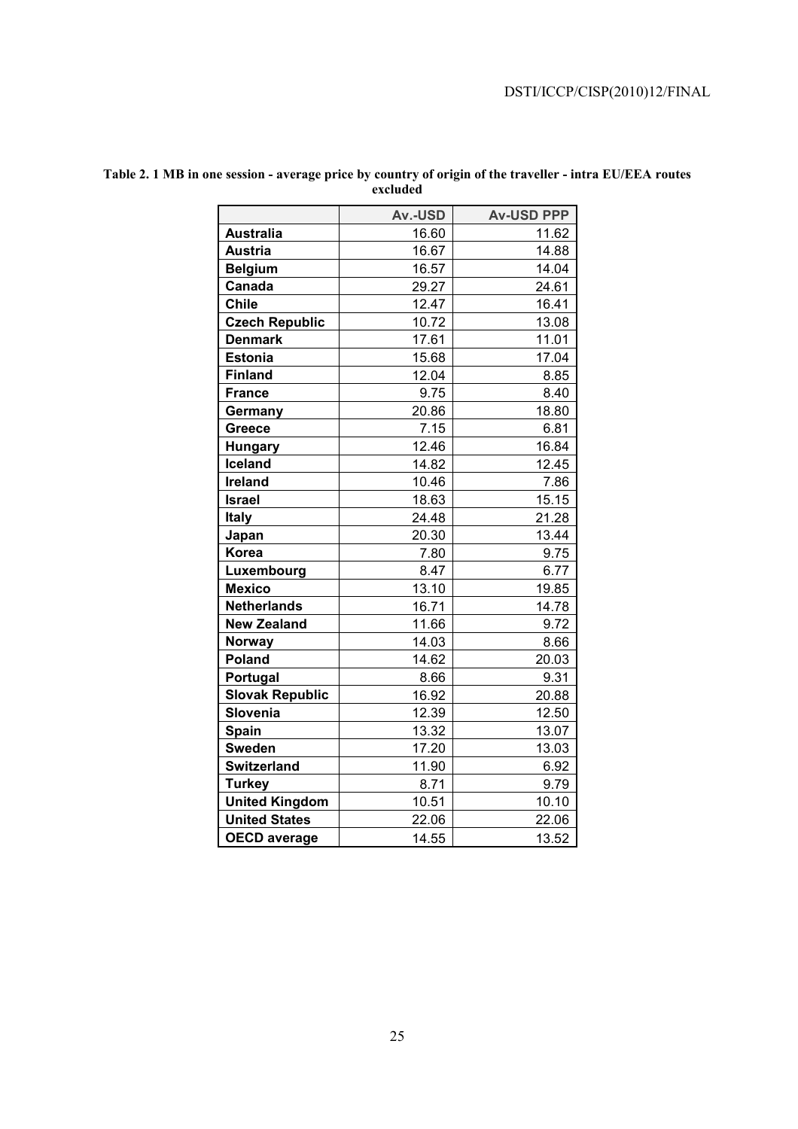|                        | Av.-USD | <b>Av-USD PPP</b> |
|------------------------|---------|-------------------|
| <b>Australia</b>       | 16.60   | 11.62             |
| <b>Austria</b>         | 16.67   | 14.88             |
| <b>Belgium</b>         | 16.57   | 14.04             |
| Canada                 | 29.27   | 24.61             |
| <b>Chile</b>           | 12.47   | 16.41             |
| <b>Czech Republic</b>  | 10.72   | 13.08             |
| <b>Denmark</b>         | 17.61   | 11.01             |
| <b>Estonia</b>         | 15.68   | 17.04             |
| <b>Finland</b>         | 12.04   | 8.85              |
| <b>France</b>          | 9.75    | 8.40              |
| Germany                | 20.86   | 18.80             |
| <b>Greece</b>          | 7.15    | 6.81              |
| <b>Hungary</b>         | 12.46   | 16.84             |
| <b>Iceland</b>         | 14.82   | 12.45             |
| <b>Ireland</b>         | 10.46   | 7.86              |
| <b>Israel</b>          | 18.63   | 15.15             |
| <b>Italy</b>           | 24.48   | 21.28             |
| Japan                  | 20.30   | 13.44             |
| Korea                  | 7.80    | 9.75              |
| Luxembourg             | 8.47    | 6.77              |
| <b>Mexico</b>          | 13.10   | 19.85             |
| <b>Netherlands</b>     | 16.71   | 14.78             |
| <b>New Zealand</b>     | 11.66   | 9.72              |
| <b>Norway</b>          | 14.03   | 8.66              |
| <b>Poland</b>          | 14.62   | 20.03             |
| Portugal               | 8.66    | 9.31              |
| <b>Slovak Republic</b> | 16.92   | 20.88             |
| Slovenia               | 12.39   | 12.50             |
| Spain                  | 13.32   | 13.07             |
| <b>Sweden</b>          | 17.20   | 13.03             |
| <b>Switzerland</b>     | 11.90   | 6.92              |
| <b>Turkey</b>          | 8.71    | 9.79              |
| <b>United Kingdom</b>  | 10.51   | 10.10             |
| <b>United States</b>   | 22.06   | 22.06             |
| <b>OECD</b> average    | 14.55   | 13.52             |

### **Table 2. 1 MB in one session - average price by country of origin of the traveller - intra EU/EEA routes excluded**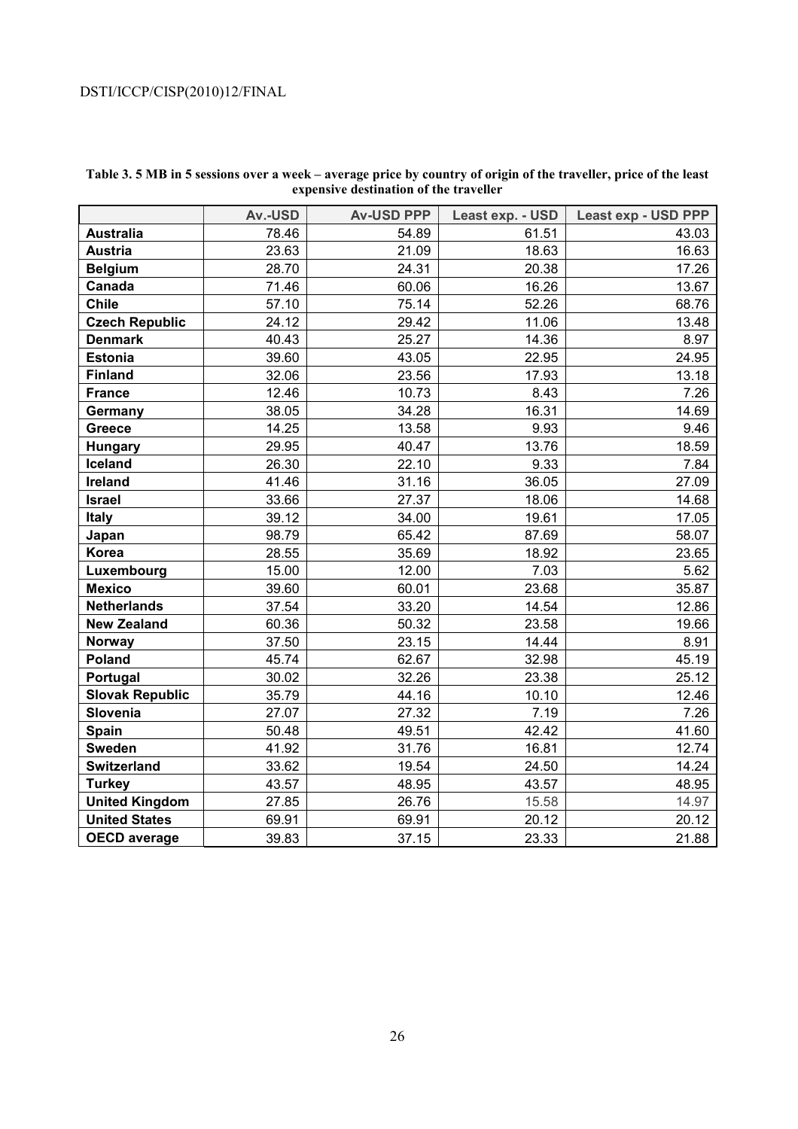|                        | Av.-USD | <b>Av-USD PPP</b> | Least exp. - USD | Least exp - USD PPP |
|------------------------|---------|-------------------|------------------|---------------------|
| <b>Australia</b>       | 78.46   | 54.89             | 61.51            | 43.03               |
| <b>Austria</b>         | 23.63   | 21.09             | 18.63            | 16.63               |
| <b>Belgium</b>         | 28.70   | 24.31             | 20.38            | 17.26               |
| Canada                 | 71.46   | 60.06             | 16.26            | 13.67               |
| <b>Chile</b>           | 57.10   | 75.14             | 52.26            | 68.76               |
| <b>Czech Republic</b>  | 24.12   | 29.42             | 11.06            | 13.48               |
| <b>Denmark</b>         | 40.43   | 25.27             | 14.36            | 8.97                |
| <b>Estonia</b>         | 39.60   | 43.05             | 22.95            | 24.95               |
| <b>Finland</b>         | 32.06   | 23.56             | 17.93            | 13.18               |
| <b>France</b>          | 12.46   | 10.73             | 8.43             | 7.26                |
| Germany                | 38.05   | 34.28             | 16.31            | 14.69               |
| Greece                 | 14.25   | 13.58             | 9.93             | 9.46                |
| <b>Hungary</b>         | 29.95   | 40.47             | 13.76            | 18.59               |
| Iceland                | 26.30   | 22.10             | 9.33             | 7.84                |
| <b>Ireland</b>         | 41.46   | 31.16             | 36.05            | 27.09               |
| <b>Israel</b>          | 33.66   | 27.37             | 18.06            | 14.68               |
| <b>Italy</b>           | 39.12   | 34.00             | 19.61            | 17.05               |
| Japan                  | 98.79   | 65.42             | 87.69            | 58.07               |
| Korea                  | 28.55   | 35.69             | 18.92            | 23.65               |
| Luxembourg             | 15.00   | 12.00             | 7.03             | 5.62                |
| <b>Mexico</b>          | 39.60   | 60.01             | 23.68            | 35.87               |
| <b>Netherlands</b>     | 37.54   | 33.20             | 14.54            | 12.86               |
| <b>New Zealand</b>     | 60.36   | 50.32             | 23.58            | 19.66               |
| <b>Norway</b>          | 37.50   | 23.15             | 14.44            | 8.91                |
| Poland                 | 45.74   | 62.67             | 32.98            | 45.19               |
| Portugal               | 30.02   | 32.26             | 23.38            | 25.12               |
| <b>Slovak Republic</b> | 35.79   | 44.16             | 10.10            | 12.46               |
| Slovenia               | 27.07   | 27.32             | 7.19             | 7.26                |
| <b>Spain</b>           | 50.48   | 49.51             | 42.42            | 41.60               |
| <b>Sweden</b>          | 41.92   | 31.76             | 16.81            | 12.74               |
| <b>Switzerland</b>     | 33.62   | 19.54             | 24.50            | 14.24               |
| <b>Turkey</b>          | 43.57   | 48.95             | 43.57            | 48.95               |
| <b>United Kingdom</b>  | 27.85   | 26.76             | 15.58            | 14.97               |
| <b>United States</b>   | 69.91   | 69.91             | 20.12            | 20.12               |
| <b>OECD</b> average    | 39.83   | 37.15             | 23.33            | 21.88               |

### **Table 3. 5 MB in 5 sessions over a week – average price by country of origin of the traveller, price of the least expensive destination of the traveller**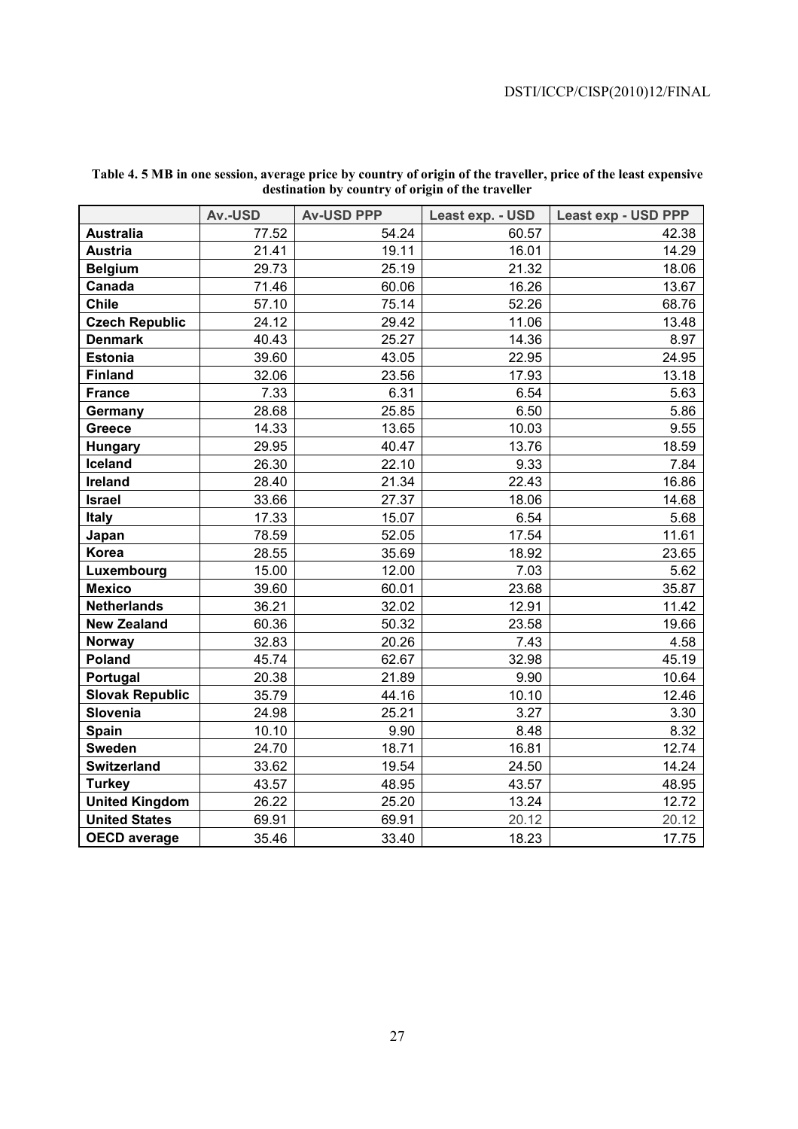|                        | Av.-USD | <b>Av-USD PPP</b> | Least exp. - USD | Least exp - USD PPP |
|------------------------|---------|-------------------|------------------|---------------------|
| <b>Australia</b>       | 77.52   | 54.24             | 60.57            | 42.38               |
| <b>Austria</b>         | 21.41   | 19.11             | 16.01            | 14.29               |
| <b>Belgium</b>         | 29.73   | 25.19             | 21.32            | 18.06               |
| Canada                 | 71.46   | 60.06             | 16.26            | 13.67               |
| <b>Chile</b>           | 57.10   | 75.14             | 52.26            | 68.76               |
| <b>Czech Republic</b>  | 24.12   | 29.42             | 11.06            | 13.48               |
| <b>Denmark</b>         | 40.43   | 25.27             | 14.36            | 8.97                |
| <b>Estonia</b>         | 39.60   | 43.05             | 22.95            | 24.95               |
| <b>Finland</b>         | 32.06   | 23.56             | 17.93            | 13.18               |
| <b>France</b>          | 7.33    | 6.31              | 6.54             | 5.63                |
| Germany                | 28.68   | 25.85             | 6.50             | 5.86                |
| Greece                 | 14.33   | 13.65             | 10.03            | 9.55                |
| Hungary                | 29.95   | 40.47             | 13.76            | 18.59               |
| Iceland                | 26.30   | 22.10             | 9.33             | 7.84                |
| Ireland                | 28.40   | 21.34             | 22.43            | 16.86               |
| <b>Israel</b>          | 33.66   | 27.37             | 18.06            | 14.68               |
| <b>Italy</b>           | 17.33   | 15.07             | 6.54             | 5.68                |
| Japan                  | 78.59   | 52.05             | 17.54            | 11.61               |
| Korea                  | 28.55   | 35.69             | 18.92            | 23.65               |
| Luxembourg             | 15.00   | 12.00             | 7.03             | 5.62                |
| <b>Mexico</b>          | 39.60   | 60.01             | 23.68            | 35.87               |
| <b>Netherlands</b>     | 36.21   | 32.02             | 12.91            | 11.42               |
| <b>New Zealand</b>     | 60.36   | 50.32             | 23.58            | 19.66               |
| <b>Norway</b>          | 32.83   | 20.26             | 7.43             | 4.58                |
| Poland                 | 45.74   | 62.67             | 32.98            | 45.19               |
| Portugal               | 20.38   | 21.89             | 9.90             | 10.64               |
| <b>Slovak Republic</b> | 35.79   | 44.16             | 10.10            | 12.46               |
| Slovenia               | 24.98   | 25.21             | 3.27             | 3.30                |
| Spain                  | 10.10   | 9.90              | 8.48             | 8.32                |
| <b>Sweden</b>          | 24.70   | 18.71             | 16.81            | 12.74               |
| <b>Switzerland</b>     | 33.62   | 19.54             | 24.50            | 14.24               |
| <b>Turkey</b>          | 43.57   | 48.95             | 43.57            | 48.95               |
| <b>United Kingdom</b>  | 26.22   | 25.20             | 13.24            | 12.72               |
| <b>United States</b>   | 69.91   | 69.91             | 20.12            | 20.12               |
| <b>OECD</b> average    | 35.46   | 33.40             | 18.23            | 17.75               |

#### **Table 4. 5 MB in one session, average price by country of origin of the traveller, price of the least expensive destination by country of origin of the traveller**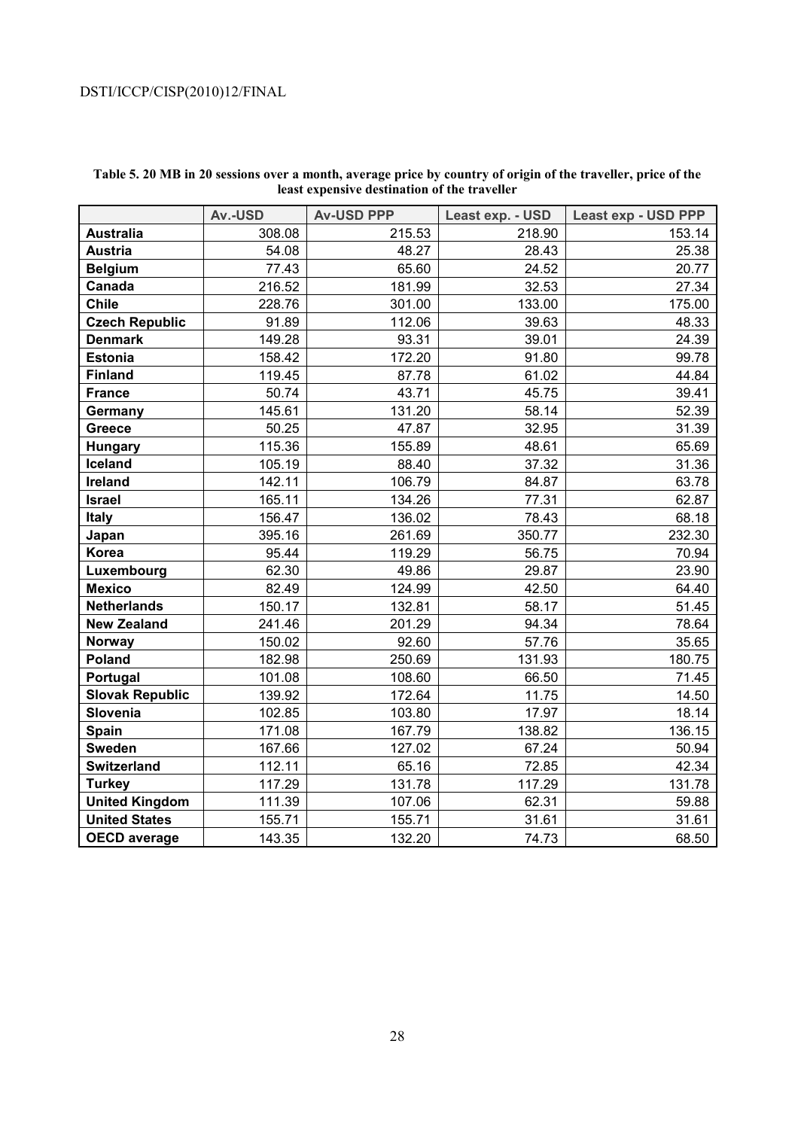|                        | Av.-USD | <b>Av-USD PPP</b> | Least exp. - USD | <b>Least exp - USD PPP</b> |
|------------------------|---------|-------------------|------------------|----------------------------|
| <b>Australia</b>       | 308.08  | 215.53            | 218.90           | 153.14                     |
| <b>Austria</b>         | 54.08   | 48.27             | 28.43            | 25.38                      |
| <b>Belgium</b>         | 77.43   | 65.60             | 24.52            | 20.77                      |
| Canada                 | 216.52  | 181.99            | 32.53            | 27.34                      |
| <b>Chile</b>           | 228.76  | 301.00            | 133.00           | 175.00                     |
| <b>Czech Republic</b>  | 91.89   | 112.06            | 39.63            | 48.33                      |
| <b>Denmark</b>         | 149.28  | 93.31             | 39.01            | 24.39                      |
| <b>Estonia</b>         | 158.42  | 172.20            | 91.80            | 99.78                      |
| <b>Finland</b>         | 119.45  | 87.78             | 61.02            | 44.84                      |
| <b>France</b>          | 50.74   | 43.71             | 45.75            | 39.41                      |
| Germany                | 145.61  | 131.20            | 58.14            | 52.39                      |
| Greece                 | 50.25   | 47.87             | 32.95            | 31.39                      |
| <b>Hungary</b>         | 115.36  | 155.89            | 48.61            | 65.69                      |
| Iceland                | 105.19  | 88.40             | 37.32            | 31.36                      |
| <b>Ireland</b>         | 142.11  | 106.79            | 84.87            | 63.78                      |
| <b>Israel</b>          | 165.11  | 134.26            | 77.31            | 62.87                      |
| Italy                  | 156.47  | 136.02            | 78.43            | 68.18                      |
| Japan                  | 395.16  | 261.69            | 350.77           | 232.30                     |
| Korea                  | 95.44   | 119.29            | 56.75            | 70.94                      |
| Luxembourg             | 62.30   | 49.86             | 29.87            | 23.90                      |
| <b>Mexico</b>          | 82.49   | 124.99            | 42.50            | 64.40                      |
| <b>Netherlands</b>     | 150.17  | 132.81            | 58.17            | 51.45                      |
| <b>New Zealand</b>     | 241.46  | 201.29            | 94.34            | 78.64                      |
| <b>Norway</b>          | 150.02  | 92.60             | 57.76            | 35.65                      |
| Poland                 | 182.98  | 250.69            | 131.93           | 180.75                     |
| Portugal               | 101.08  | 108.60            | 66.50            | 71.45                      |
| <b>Slovak Republic</b> | 139.92  | 172.64            | 11.75            | 14.50                      |
| Slovenia               | 102.85  | 103.80            | 17.97            | 18.14                      |
| Spain                  | 171.08  | 167.79            | 138.82           | 136.15                     |
| <b>Sweden</b>          | 167.66  | 127.02            | 67.24            | 50.94                      |
| <b>Switzerland</b>     | 112.11  | 65.16             | 72.85            | 42.34                      |
| <b>Turkey</b>          | 117.29  | 131.78            | 117.29           | 131.78                     |
| <b>United Kingdom</b>  | 111.39  | 107.06            | 62.31            | 59.88                      |
| <b>United States</b>   | 155.71  | 155.71            | 31.61            | 31.61                      |
| <b>OECD</b> average    | 143.35  | 132.20            | 74.73            | 68.50                      |

### **Table 5. 20 MB in 20 sessions over a month, average price by country of origin of the traveller, price of the least expensive destination of the traveller**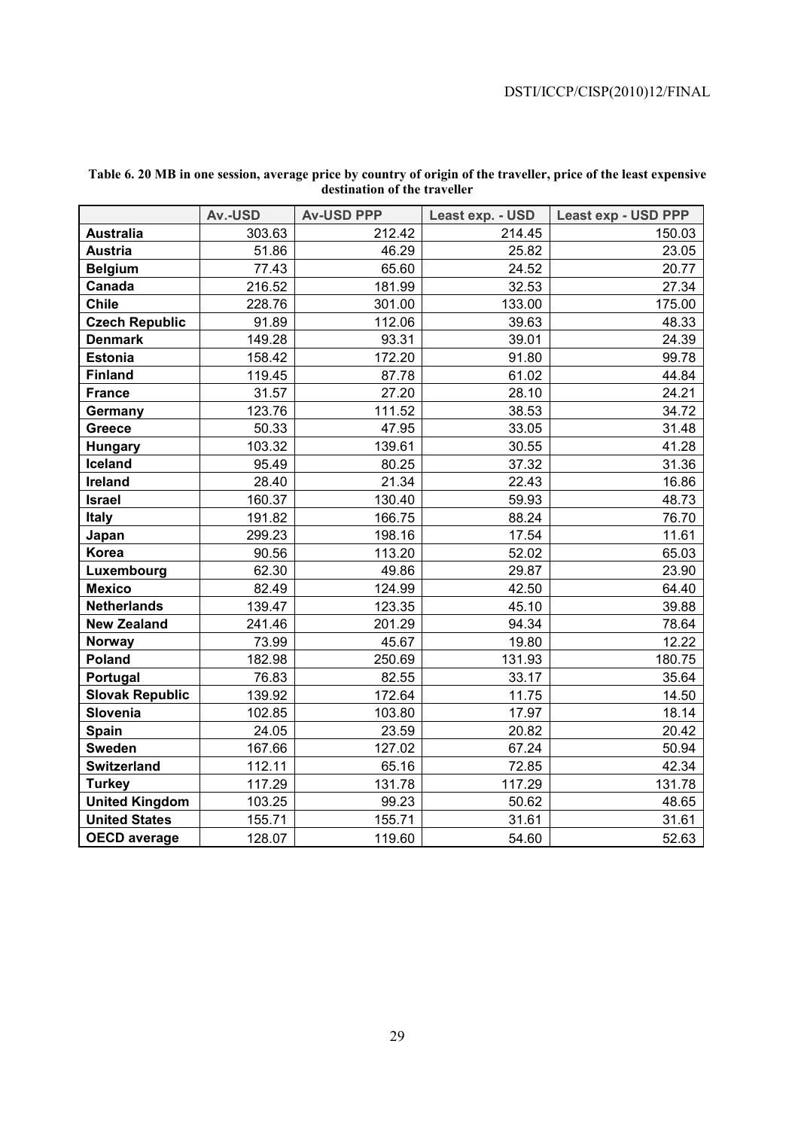|                        | Av.-USD | <b>Av-USD PPP</b> | Least exp. - USD | Least exp - USD PPP |
|------------------------|---------|-------------------|------------------|---------------------|
| <b>Australia</b>       | 303.63  | 212.42            | 214.45           | 150.03              |
| <b>Austria</b>         | 51.86   | 46.29             | 25.82            | 23.05               |
| <b>Belgium</b>         | 77.43   | 65.60             | 24.52            | 20.77               |
| Canada                 | 216.52  | 181.99            | 32.53            | 27.34               |
| <b>Chile</b>           | 228.76  | 301.00            | 133.00           | 175.00              |
| <b>Czech Republic</b>  | 91.89   | 112.06            | 39.63            | 48.33               |
| <b>Denmark</b>         | 149.28  | 93.31             | 39.01            | 24.39               |
| <b>Estonia</b>         | 158.42  | 172.20            | 91.80            | 99.78               |
| <b>Finland</b>         | 119.45  | 87.78             | 61.02            | 44.84               |
| <b>France</b>          | 31.57   | 27.20             | 28.10            | 24.21               |
| Germany                | 123.76  | 111.52            | 38.53            | 34.72               |
| <b>Greece</b>          | 50.33   | 47.95             | 33.05            | 31.48               |
| <b>Hungary</b>         | 103.32  | 139.61            | 30.55            | 41.28               |
| Iceland                | 95.49   | 80.25             | 37.32            | 31.36               |
| <b>Ireland</b>         | 28.40   | 21.34             | 22.43            | 16.86               |
| <b>Israel</b>          | 160.37  | 130.40            | 59.93            | 48.73               |
| <b>Italy</b>           | 191.82  | 166.75            | 88.24            | 76.70               |
| Japan                  | 299.23  | 198.16            | 17.54            | 11.61               |
| Korea                  | 90.56   | 113.20            | 52.02            | 65.03               |
| Luxembourg             | 62.30   | 49.86             | 29.87            | 23.90               |
| <b>Mexico</b>          | 82.49   | 124.99            | 42.50            | 64.40               |
| <b>Netherlands</b>     | 139.47  | 123.35            | 45.10            | 39.88               |
| <b>New Zealand</b>     | 241.46  | 201.29            | 94.34            | 78.64               |
| <b>Norway</b>          | 73.99   | 45.67             | 19.80            | 12.22               |
| Poland                 | 182.98  | 250.69            | 131.93           | 180.75              |
| Portugal               | 76.83   | 82.55             | 33.17            | 35.64               |
| <b>Slovak Republic</b> | 139.92  | 172.64            | 11.75            | 14.50               |
| Slovenia               | 102.85  | 103.80            | 17.97            | 18.14               |
| Spain                  | 24.05   | 23.59             | 20.82            | 20.42               |
| <b>Sweden</b>          | 167.66  | 127.02            | 67.24            | 50.94               |
| <b>Switzerland</b>     | 112.11  | 65.16             | 72.85            | 42.34               |
| <b>Turkey</b>          | 117.29  | 131.78            | 117.29           | 131.78              |
| <b>United Kingdom</b>  | 103.25  | 99.23             | 50.62            | 48.65               |
| <b>United States</b>   | 155.71  | 155.71            | 31.61            | 31.61               |
| <b>OECD</b> average    | 128.07  | 119.60            | 54.60            | 52.63               |

### **Table 6. 20 MB in one session, average price by country of origin of the traveller, price of the least expensive destination of the traveller**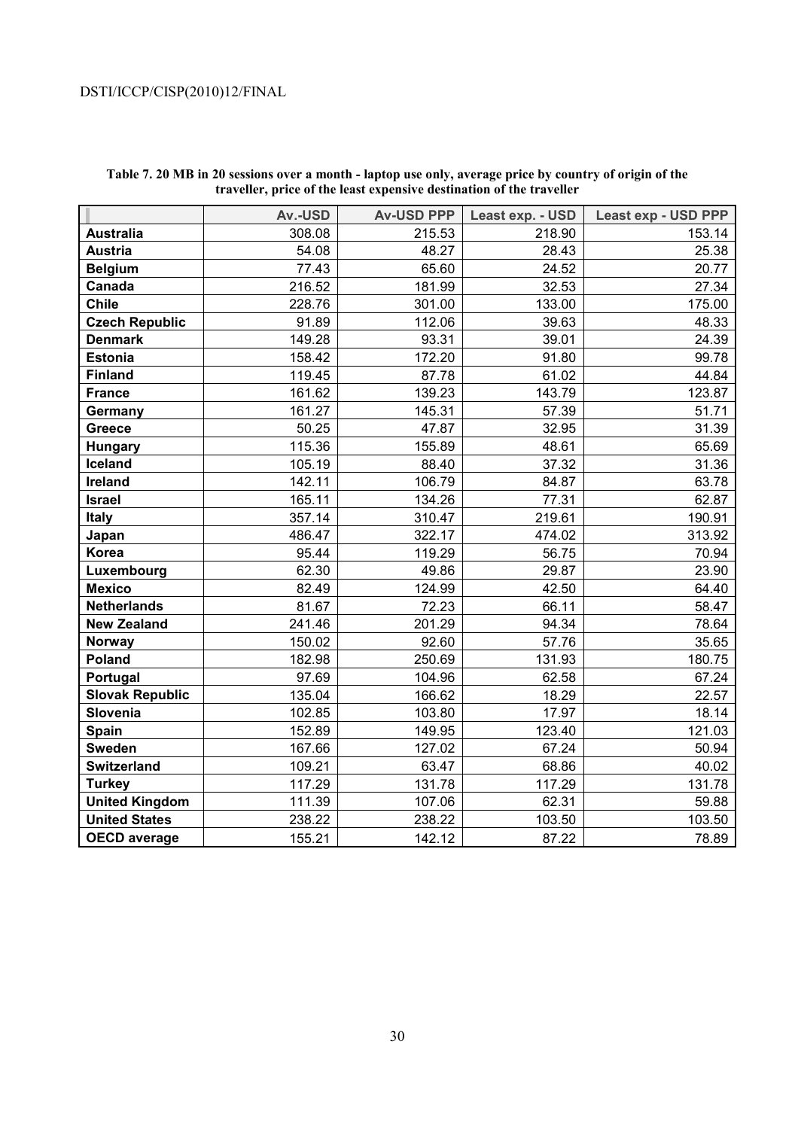|                        | Av.-USD | <b>Av-USD PPP</b> | Least exp. - USD | Least exp - USD PPP |
|------------------------|---------|-------------------|------------------|---------------------|
| <b>Australia</b>       | 308.08  | 215.53            | 218.90           | 153.14              |
| <b>Austria</b>         | 54.08   | 48.27             | 28.43            | 25.38               |
| <b>Belgium</b>         | 77.43   | 65.60             | 24.52            | 20.77               |
| Canada                 | 216.52  | 181.99            | 32.53            | 27.34               |
| <b>Chile</b>           | 228.76  | 301.00            | 133.00           | 175.00              |
| <b>Czech Republic</b>  | 91.89   | 112.06            | 39.63            | 48.33               |
| <b>Denmark</b>         | 149.28  | 93.31             | 39.01            | 24.39               |
| <b>Estonia</b>         | 158.42  | 172.20            | 91.80            | 99.78               |
| <b>Finland</b>         | 119.45  | 87.78             | 61.02            | 44.84               |
| <b>France</b>          | 161.62  | 139.23            | 143.79           | 123.87              |
| Germany                | 161.27  | 145.31            | 57.39            | 51.71               |
| <b>Greece</b>          | 50.25   | 47.87             | 32.95            | 31.39               |
| <b>Hungary</b>         | 115.36  | 155.89            | 48.61            | 65.69               |
| Iceland                | 105.19  | 88.40             | 37.32            | 31.36               |
| <b>Ireland</b>         | 142.11  | 106.79            | 84.87            | 63.78               |
| <b>Israel</b>          | 165.11  | 134.26            | 77.31            | 62.87               |
| <b>Italy</b>           | 357.14  | 310.47            | 219.61           | 190.91              |
| Japan                  | 486.47  | 322.17            | 474.02           | 313.92              |
| Korea                  | 95.44   | 119.29            | 56.75            | 70.94               |
| Luxembourg             | 62.30   | 49.86             | 29.87            | 23.90               |
| <b>Mexico</b>          | 82.49   | 124.99            | 42.50            | 64.40               |
| <b>Netherlands</b>     | 81.67   | 72.23             | 66.11            | 58.47               |
| <b>New Zealand</b>     | 241.46  | 201.29            | 94.34            | 78.64               |
| <b>Norway</b>          | 150.02  | 92.60             | 57.76            | 35.65               |
| Poland                 | 182.98  | 250.69            | 131.93           | 180.75              |
| Portugal               | 97.69   | 104.96            | 62.58            | 67.24               |
| <b>Slovak Republic</b> | 135.04  | 166.62            | 18.29            | 22.57               |
| Slovenia               | 102.85  | 103.80            | 17.97            | 18.14               |
| Spain                  | 152.89  | 149.95            | 123.40           | 121.03              |
| <b>Sweden</b>          | 167.66  | 127.02            | 67.24            | 50.94               |
| <b>Switzerland</b>     | 109.21  | 63.47             | 68.86            | 40.02               |
| <b>Turkey</b>          | 117.29  | 131.78            | 117.29           | 131.78              |
| <b>United Kingdom</b>  | 111.39  | 107.06            | 62.31            | 59.88               |
| <b>United States</b>   | 238.22  | 238.22            | 103.50           | 103.50              |
| <b>OECD average</b>    | 155.21  | 142.12            | 87.22            | 78.89               |

**Table 7. 20 MB in 20 sessions over a month - laptop use only, average price by country of origin of the traveller, price of the least expensive destination of the traveller**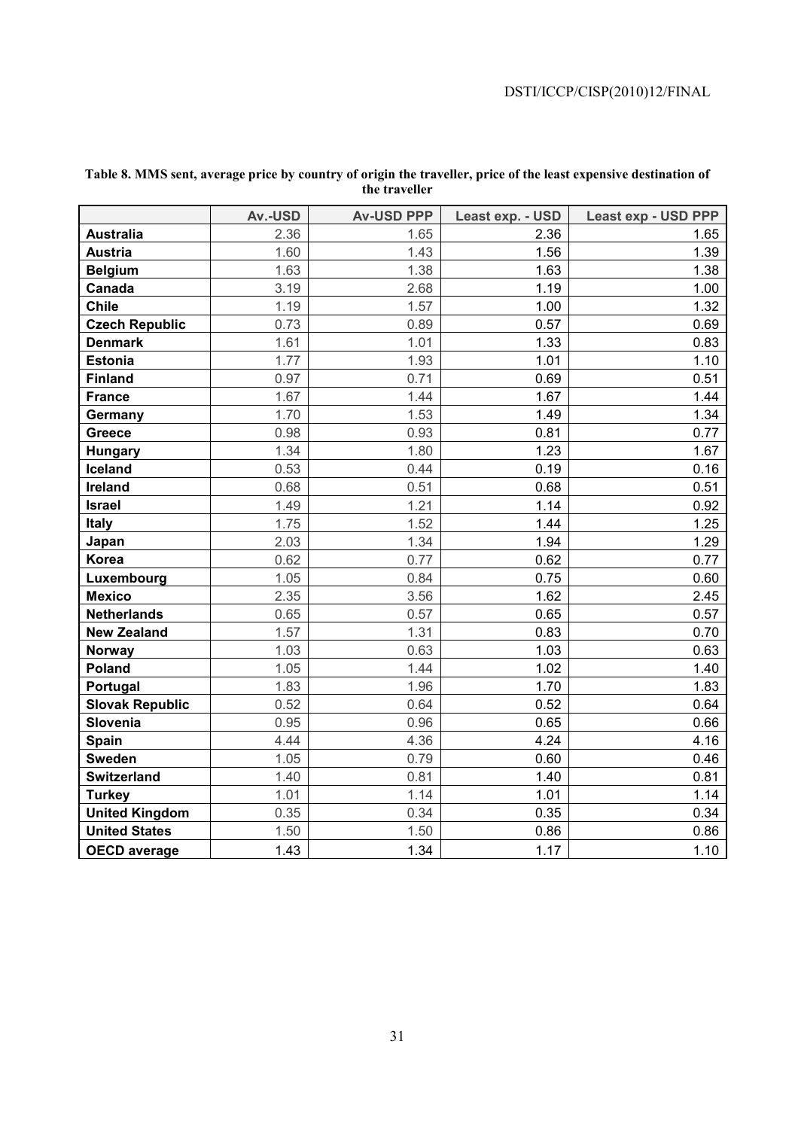|                        | Av.-USD | <b>Av-USD PPP</b> | Least exp. - USD | Least exp - USD PPP |
|------------------------|---------|-------------------|------------------|---------------------|
| <b>Australia</b>       | 2.36    | 1.65              | 2.36             | 1.65                |
| <b>Austria</b>         | 1.60    | 1.43              | 1.56             | 1.39                |
| <b>Belgium</b>         | 1.63    | 1.38              | 1.63             | 1.38                |
| Canada                 | 3.19    | 2.68              | 1.19             | 1.00                |
| <b>Chile</b>           | 1.19    | 1.57              | 1.00             | 1.32                |
| <b>Czech Republic</b>  | 0.73    | 0.89              | 0.57             | 0.69                |
| <b>Denmark</b>         | 1.61    | 1.01              | 1.33             | 0.83                |
| <b>Estonia</b>         | 1.77    | 1.93              | 1.01             | 1.10                |
| <b>Finland</b>         | 0.97    | 0.71              | 0.69             | 0.51                |
| <b>France</b>          | 1.67    | 1.44              | 1.67             | 1.44                |
| Germany                | 1.70    | 1.53              | 1.49             | 1.34                |
| Greece                 | 0.98    | 0.93              | 0.81             | 0.77                |
| <b>Hungary</b>         | 1.34    | 1.80              | 1.23             | 1.67                |
| Iceland                | 0.53    | 0.44              | 0.19             | 0.16                |
| <b>Ireland</b>         | 0.68    | 0.51              | 0.68             | 0.51                |
| <b>Israel</b>          | 1.49    | 1.21              | 1.14             | 0.92                |
| <b>Italy</b>           | 1.75    | 1.52              | 1.44             | 1.25                |
| Japan                  | 2.03    | 1.34              | 1.94             | 1.29                |
| Korea                  | 0.62    | 0.77              | 0.62             | 0.77                |
| Luxembourg             | 1.05    | 0.84              | 0.75             | 0.60                |
| <b>Mexico</b>          | 2.35    | 3.56              | 1.62             | 2.45                |
| <b>Netherlands</b>     | 0.65    | 0.57              | 0.65             | 0.57                |
| <b>New Zealand</b>     | 1.57    | 1.31              | 0.83             | 0.70                |
| Norway                 | 1.03    | 0.63              | 1.03             | 0.63                |
| Poland                 | 1.05    | 1.44              | 1.02             | 1.40                |
| Portugal               | 1.83    | 1.96              | 1.70             | 1.83                |
| <b>Slovak Republic</b> | 0.52    | 0.64              | 0.52             | 0.64                |
| Slovenia               | 0.95    | 0.96              | 0.65             | 0.66                |
| Spain                  | 4.44    | 4.36              | 4.24             | 4.16                |
| <b>Sweden</b>          | 1.05    | 0.79              | 0.60             | 0.46                |
| <b>Switzerland</b>     | 1.40    | 0.81              | 1.40             | 0.81                |
| <b>Turkey</b>          | 1.01    | 1.14              | 1.01             | 1.14                |
| <b>United Kingdom</b>  | 0.35    | 0.34              | 0.35             | 0.34                |
| <b>United States</b>   | 1.50    | 1.50              | 0.86             | 0.86                |
| <b>OECD</b> average    | 1.43    | 1.34              | 1.17             | 1.10                |

## **Table 8. MMS sent, average price by country of origin the traveller, price of the least expensive destination of the traveller**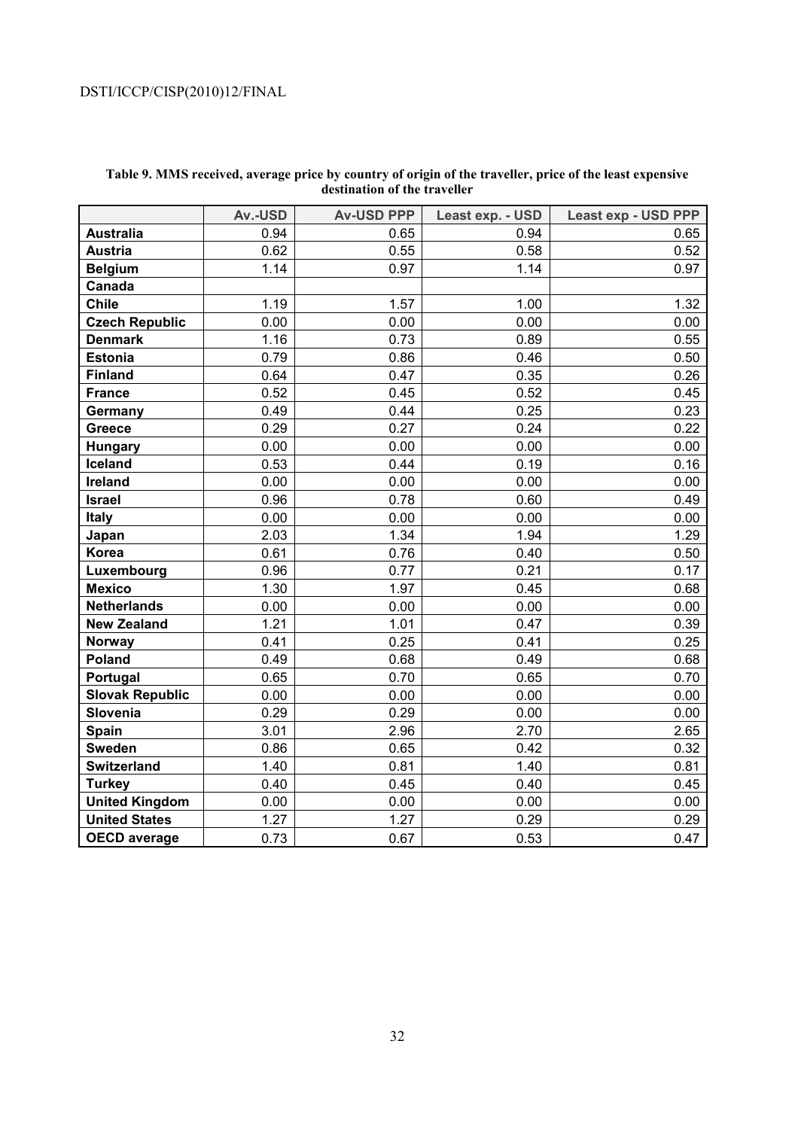|                        | Av.-USD | <b>Av-USD PPP</b> | Least exp. - USD | <b>Least exp - USD PPP</b> |
|------------------------|---------|-------------------|------------------|----------------------------|
| <b>Australia</b>       | 0.94    | 0.65              | 0.94             | 0.65                       |
| <b>Austria</b>         | 0.62    | 0.55              | 0.58             | 0.52                       |
| <b>Belgium</b>         | 1.14    | 0.97              | 1.14             | 0.97                       |
| Canada                 |         |                   |                  |                            |
| <b>Chile</b>           | 1.19    | 1.57              | 1.00             | 1.32                       |
| <b>Czech Republic</b>  | 0.00    | 0.00              | 0.00             | 0.00                       |
| <b>Denmark</b>         | 1.16    | 0.73              | 0.89             | 0.55                       |
| <b>Estonia</b>         | 0.79    | 0.86              | 0.46             | 0.50                       |
| <b>Finland</b>         | 0.64    | 0.47              | 0.35             | 0.26                       |
| <b>France</b>          | 0.52    | 0.45              | 0.52             | 0.45                       |
| Germany                | 0.49    | 0.44              | 0.25             | 0.23                       |
| Greece                 | 0.29    | 0.27              | 0.24             | 0.22                       |
| <b>Hungary</b>         | 0.00    | 0.00              | 0.00             | 0.00                       |
| Iceland                | 0.53    | 0.44              | 0.19             | 0.16                       |
| Ireland                | 0.00    | 0.00              | 0.00             | 0.00                       |
| <b>Israel</b>          | 0.96    | 0.78              | 0.60             | 0.49                       |
| <b>Italy</b>           | 0.00    | 0.00              | 0.00             | 0.00                       |
| Japan                  | 2.03    | 1.34              | 1.94             | 1.29                       |
| Korea                  | 0.61    | 0.76              | 0.40             | 0.50                       |
| Luxembourg             | 0.96    | 0.77              | 0.21             | 0.17                       |
| <b>Mexico</b>          | 1.30    | 1.97              | 0.45             | 0.68                       |
| <b>Netherlands</b>     | 0.00    | 0.00              | 0.00             | 0.00                       |
| <b>New Zealand</b>     | 1.21    | 1.01              | 0.47             | 0.39                       |
| <b>Norway</b>          | 0.41    | 0.25              | 0.41             | 0.25                       |
| Poland                 | 0.49    | 0.68              | 0.49             | 0.68                       |
| Portugal               | 0.65    | 0.70              | 0.65             | 0.70                       |
| <b>Slovak Republic</b> | 0.00    | 0.00              | 0.00             | 0.00                       |
| Slovenia               | 0.29    | 0.29              | 0.00             | 0.00                       |
| Spain                  | 3.01    | 2.96              | 2.70             | 2.65                       |
| <b>Sweden</b>          | 0.86    | 0.65              | 0.42             | 0.32                       |
| <b>Switzerland</b>     | 1.40    | 0.81              | 1.40             | 0.81                       |
| <b>Turkey</b>          | 0.40    | 0.45              | 0.40             | 0.45                       |
| <b>United Kingdom</b>  | 0.00    | 0.00              | 0.00             | 0.00                       |
| <b>United States</b>   | 1.27    | 1.27              | 0.29             | 0.29                       |
| <b>OECD</b> average    | 0.73    | 0.67              | 0.53             | 0.47                       |

### **Table 9. MMS received, average price by country of origin of the traveller, price of the least expensive destination of the traveller**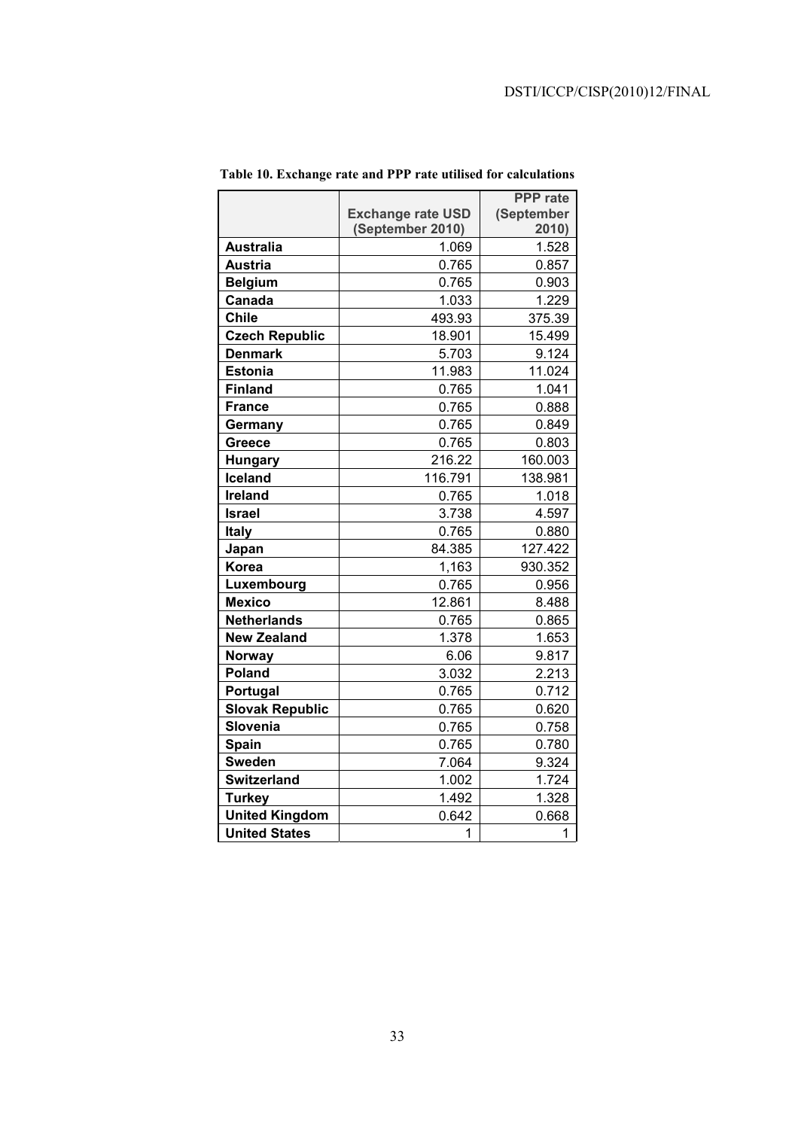|                        |                          | <b>PPP</b> rate |
|------------------------|--------------------------|-----------------|
|                        | <b>Exchange rate USD</b> | (September      |
|                        | (September 2010)         | 2010)           |
| <b>Australia</b>       | 1.069                    | 1.528           |
| Austria                | 0.765                    | 0.857           |
| <b>Belgium</b>         | 0.765                    | 0.903           |
| Canada                 | 1.033                    | 1.229           |
| <b>Chile</b>           | 493.93                   | 375.39          |
| <b>Czech Republic</b>  | 18.901                   | 15.499          |
| <b>Denmark</b>         | 5.703                    | 9.124           |
| <b>Estonia</b>         | 11.983                   | 11.024          |
| <b>Finland</b>         | 0.765                    | 1.041           |
| <b>France</b>          | 0.765                    | 0.888           |
| Germany                | 0.765                    | 0.849           |
| Greece                 | 0.765                    | 0.803           |
| <b>Hungary</b>         | 216.22                   | 160.003         |
| <b>Iceland</b>         | 116.791                  | 138.981         |
| <b>Ireland</b>         | 0.765                    | 1.018           |
| <b>Israel</b>          | 3.738                    | 4.597           |
| Italy                  | 0.765                    | 0.880           |
| Japan                  | 84.385                   | 127.422         |
| <b>Korea</b>           | 1,163                    | 930.352         |
| Luxembourg             | 0.765                    | 0.956           |
| <b>Mexico</b>          | 12.861                   | 8.488           |
| <b>Netherlands</b>     | 0.765                    | 0.865           |
| <b>New Zealand</b>     | 1.378                    | 1.653           |
| Norway                 | 6.06                     | 9.817           |
| Poland                 | 3.032                    | 2.213           |
| Portugal               | 0.765                    | 0.712           |
| <b>Slovak Republic</b> | 0.765                    | 0.620           |
| Slovenia               | 0.765                    | 0.758           |
| <b>Spain</b>           | 0.765                    | 0.780           |
| <b>Sweden</b>          | 7.064                    | 9.324           |
| <b>Switzerland</b>     | 1.002                    | 1.724           |
| <b>Turkey</b>          | 1.492                    | 1.328           |
| <b>United Kingdom</b>  | 0.642                    | 0.668           |
| <b>United States</b>   | 1                        | 1               |

**Table 10. Exchange rate and PPP rate utilised for calculations**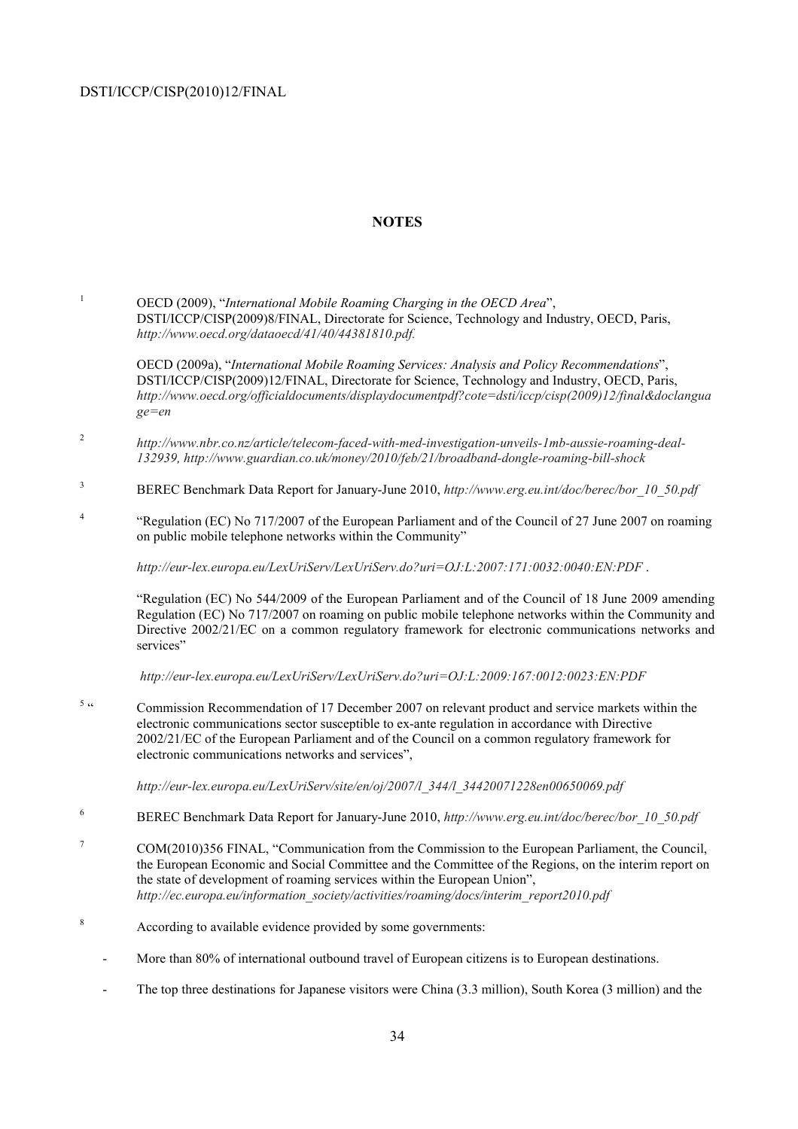1

### **NOTES**

 OECD (2009), "*International Mobile Roaming Charging in the OECD Area*", DSTI/ICCP/CISP(2009)8/FINAL, Directorate for Science, Technology and Industry, OECD, Paris, *http://www.oecd.org/dataoecd/41/40/44381810.pdf.*

OECD (2009a), "*International Mobile Roaming Services: Analysis and Policy Recommendations*", DSTI/ICCP/CISP(2009)12/FINAL, Directorate for Science, Technology and Industry, OECD, Paris, *http://www.oecd.org/officialdocuments/displaydocumentpdf?cote=dsti/iccp/cisp(2009)12/final&doclangua ge=en*

- <sup>2</sup> *http://www.nbr.co.nz/article/telecom-faced-with-med-investigation-unveils-1mb-aussie-roaming-deal-132939, http://www.guardian.co.uk/money/2010/feb/21/broadband-dongle-roaming-bill-shock*
- 3 BEREC Benchmark Data Report for January-June 2010, *http://www.erg.eu.int/doc/berec/bor\_10\_50.pdf*
- 4 "Regulation (EC) No 717/2007 of the European Parliament and of the Council of 27 June 2007 on roaming on public mobile telephone networks within the Community"

*http://eur-lex.europa.eu/LexUriServ/LexUriServ.do?uri=OJ:L:2007:171:0032:0040:EN:PDF* .

 "Regulation (EC) No 544/2009 of the European Parliament and of the Council of 18 June 2009 amending Regulation (EC) No 717/2007 on roaming on public mobile telephone networks within the Community and Directive 2002/21/EC on a common regulatory framework for electronic communications networks and services"

*http://eur-lex.europa.eu/LexUriServ/LexUriServ.do?uri=OJ:L:2009:167:0012:0023:EN:PDF* 

 $5\alpha$  " Commission Recommendation of 17 December 2007 on relevant product and service markets within the electronic communications sector susceptible to ex-ante regulation in accordance with Directive 2002/21/EC of the European Parliament and of the Council on a common regulatory framework for electronic communications networks and services",

*http://eur-lex.europa.eu/LexUriServ/site/en/oj/2007/l\_344/l\_34420071228en00650069.pdf* 

- 6 BEREC Benchmark Data Report for January-June 2010, *http://www.erg.eu.int/doc/berec/bor\_10\_50.pdf*
- 7 COM(2010)356 FINAL, "Communication from the Commission to the European Parliament, the Council, the European Economic and Social Committee and the Committee of the Regions, on the interim report on the state of development of roaming services within the European Union", *http://ec.europa.eu/information\_society/activities/roaming/docs/interim\_report2010.pdf*
- 8 According to available evidence provided by some governments:
	- More than 80% of international outbound travel of European citizens is to European destinations.
	- The top three destinations for Japanese visitors were China (3.3 million), South Korea (3 million) and the